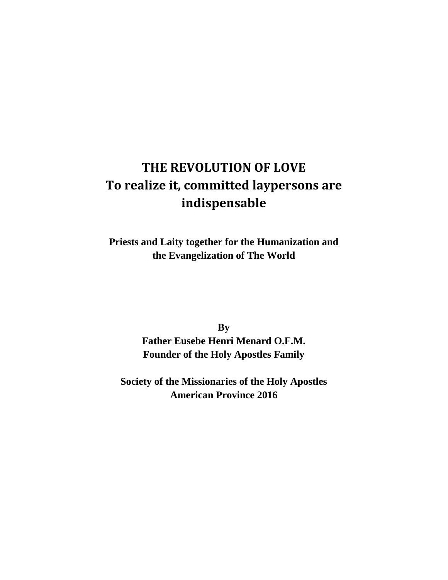# **THE REVOLUTION OF LOVE To realize it, committed laypersons are indispensable**

**Priests and Laity together for the Humanization and the Evangelization of The World**

> **By Father Eusebe Henri Menard O.F.M. Founder of the Holy Apostles Family**

**Society of the Missionaries of the Holy Apostles American Province 2016**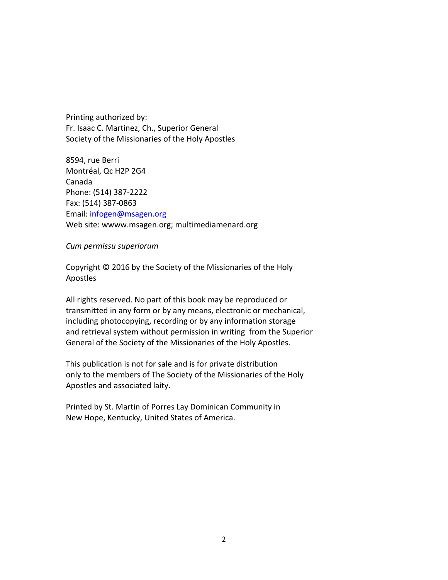Printing authorized by: Fr. Isaac C. Martinez, Ch., Superior General Society of the Missionaries of the Holy Apostles

8594, rue Berri Montréal, Qc H2P 2G4 Canada Phone: (514) 387-2222 Fax: (514) 387-0863 Email: infogen@msagen.org Web site: wwww.msagen.org; multimediamenard.org

#### *Cum permissu superiorum*

Copyright © 2016 by the Society of the Missionaries of the Holy Apostles

All rights reserved. No part of this book may be reproduced or transmitted in any form or by any means, electronic or mechanical, including photocopying, recording or by any information storage and retrieval system without permission in writing from the Superior General of the Society of the Missionaries of the Holy Apostles.

This publication is not for sale and is for private distribution only to the members of The Society of the Missionaries of the Holy Apostles and associated laity.

Printed by St. Martin of Porres Lay Dominican Community in New Hope, Kentucky, United States of America.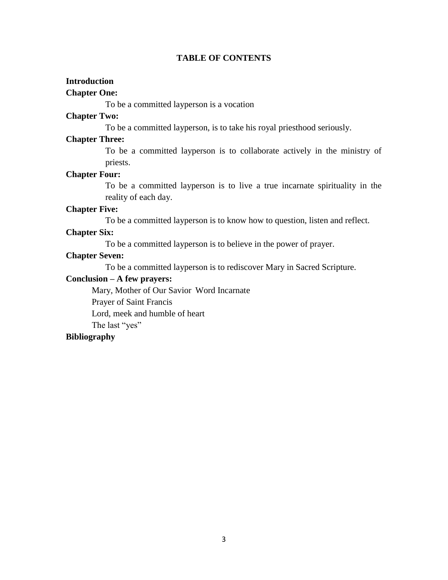## **TABLE OF CONTENTS**

#### **Introduction**

#### **Chapter One:**

To be a committed layperson is a vocation

#### **Chapter Two:**

To be a committed layperson, is to take his royal priesthood seriously.

#### **Chapter Three:**

To be a committed layperson is to collaborate actively in the ministry of priests.

## **Chapter Four:**

To be a committed layperson is to live a true incarnate spirituality in the reality of each day.

# **Chapter Five:**

To be a committed layperson is to know how to question, listen and reflect.

#### **Chapter Six:**

To be a committed layperson is to believe in the power of prayer.

## **Chapter Seven:**

To be a committed layperson is to rediscover Mary in Sacred Scripture.

## **Conclusion – A few prayers:**

Mary, Mother of Our Savior Word Incarnate

Prayer of Saint Francis

Lord, meek and humble of heart

The last "yes"

#### **Bibliography**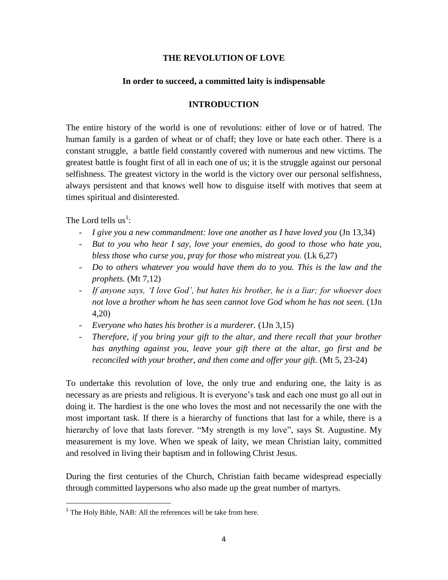## **THE REVOLUTION OF LOVE**

#### **In order to succeed, a committed laity is indispensable**

## **INTRODUCTION**

The entire history of the world is one of revolutions: either of love or of hatred. The human family is a garden of wheat or of chaff; they love or hate each other. There is a constant struggle, a battle field constantly covered with numerous and new victims. The greatest battle is fought first of all in each one of us; it is the struggle against our personal selfishness. The greatest victory in the world is the victory over our personal selfishness, always persistent and that knows well how to disguise itself with motives that seem at times spiritual and disinterested.

The Lord tells  $us^1$ :

l

- *I give you a new commandment: love one another as I have loved you* (Jn 13,34)
- *But to you who hear I say, love your enemies, do good to those who hate you, bless those who curse you, pray for those who mistreat you.* (Lk 6,27)
- *Do to others whatever you would have them do to you. This is the law and the prophets.* (Mt 7,12)
- *If anyone says, 'I love God', but hates his brother, he is a liar; for whoever does not love a brother whom he has seen cannot love God whom he has not seen.* (1Jn 4,20)
- *Everyone who hates his brother is a murderer.* (1Jn 3,15)
- *Therefore, if you bring your gift to the altar, and there recall that your brother has anything against you, leave your gift there at the altar, go first and be reconciled with your brother, and then come and offer your gift.* (Mt 5, 23-24)

To undertake this revolution of love, the only true and enduring one, the laity is as necessary as are priests and religious. It is everyone's task and each one must go all out in doing it. The hardiest is the one who loves the most and not necessarily the one with the most important task. If there is a hierarchy of functions that last for a while, there is a hierarchy of love that lasts forever. "My strength is my love", says St. Augustine. My measurement is my love. When we speak of laity, we mean Christian laity, committed and resolved in living their baptism and in following Christ Jesus.

During the first centuries of the Church, Christian faith became widespread especially through committed laypersons who also made up the great number of martyrs.

<sup>&</sup>lt;sup>1</sup> The Holy Bible, NAB: All the references will be take from here.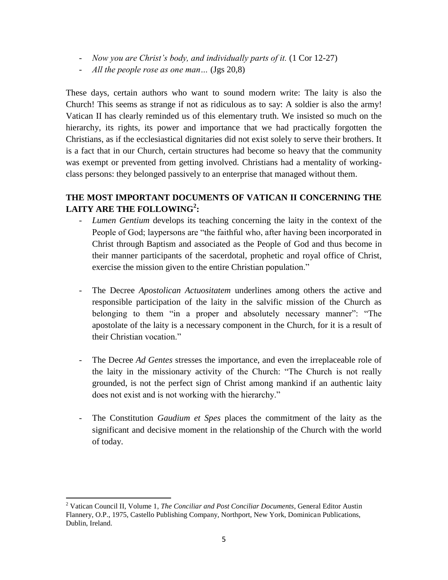- *Now you are Christ's body, and individually parts of it.* (1 Cor 12-27)
- *All the people rose as one man…* (Jgs 20,8)

These days, certain authors who want to sound modern write: The laity is also the Church! This seems as strange if not as ridiculous as to say: A soldier is also the army! Vatican II has clearly reminded us of this elementary truth. We insisted so much on the hierarchy, its rights, its power and importance that we had practically forgotten the Christians, as if the ecclesiastical dignitaries did not exist solely to serve their brothers. It is a fact that in our Church, certain structures had become so heavy that the community was exempt or prevented from getting involved. Christians had a mentality of workingclass persons: they belonged passively to an enterprise that managed without them.

# **THE MOST IMPORTANT DOCUMENTS OF VATICAN II CONCERNING THE LAITY ARE THE FOLLOWING<sup>2</sup> :**

- *Lumen Gentium* develops its teaching concerning the laity in the context of the People of God; laypersons are "the faithful who, after having been incorporated in Christ through Baptism and associated as the People of God and thus become in their manner participants of the sacerdotal, prophetic and royal office of Christ, exercise the mission given to the entire Christian population."
- The Decree *Apostolican Actuositatem* underlines among others the active and responsible participation of the laity in the salvific mission of the Church as belonging to them "in a proper and absolutely necessary manner": "The apostolate of the laity is a necessary component in the Church, for it is a result of their Christian vocation."
- The Decree *Ad Gentes* stresses the importance, and even the irreplaceable role of the laity in the missionary activity of the Church: "The Church is not really grounded, is not the perfect sign of Christ among mankind if an authentic laity does not exist and is not working with the hierarchy."
- The Constitution *Gaudium et Spes* places the commitment of the laity as the significant and decisive moment in the relationship of the Church with the world of today.

 $\overline{\phantom{a}}$ <sup>2</sup> Vatican Council II, Volume 1, *The Conciliar and Post Conciliar Documents*, General Editor Austin Flannery, O.P., 1975, Castello Publishing Company, Northport, New York, Dominican Publications, Dublin, Ireland.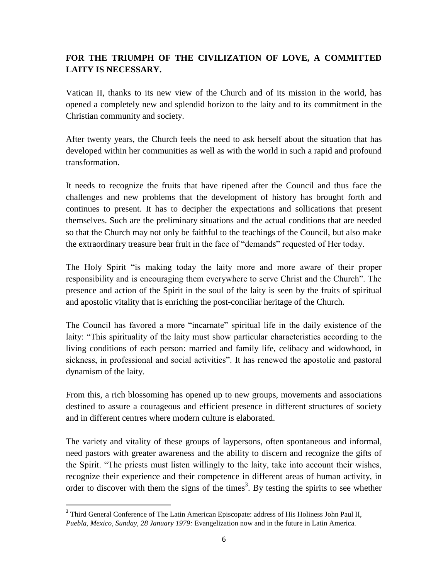# **FOR THE TRIUMPH OF THE CIVILIZATION OF LOVE, A COMMITTED LAITY IS NECESSARY.**

Vatican II, thanks to its new view of the Church and of its mission in the world, has opened a completely new and splendid horizon to the laity and to its commitment in the Christian community and society.

After twenty years, the Church feels the need to ask herself about the situation that has developed within her communities as well as with the world in such a rapid and profound transformation.

It needs to recognize the fruits that have ripened after the Council and thus face the challenges and new problems that the development of history has brought forth and continues to present. It has to decipher the expectations and sollications that present themselves. Such are the preliminary situations and the actual conditions that are needed so that the Church may not only be faithful to the teachings of the Council, but also make the extraordinary treasure bear fruit in the face of "demands" requested of Her today.

The Holy Spirit "is making today the laity more and more aware of their proper responsibility and is encouraging them everywhere to serve Christ and the Church". The presence and action of the Spirit in the soul of the laity is seen by the fruits of spiritual and apostolic vitality that is enriching the post-conciliar heritage of the Church.

The Council has favored a more "incarnate" spiritual life in the daily existence of the laity: "This spirituality of the laity must show particular characteristics according to the living conditions of each person: married and family life, celibacy and widowhood, in sickness, in professional and social activities". It has renewed the apostolic and pastoral dynamism of the laity.

From this, a rich blossoming has opened up to new groups, movements and associations destined to assure a courageous and efficient presence in different structures of society and in different centres where modern culture is elaborated.

The variety and vitality of these groups of laypersons, often spontaneous and informal, need pastors with greater awareness and the ability to discern and recognize the gifts of the Spirit. "The priests must listen willingly to the laity, take into account their wishes, recognize their experience and their competence in different areas of human activity, in order to discover with them the signs of the times<sup>3</sup>. By testing the spirits to see whether

 $\overline{\phantom{a}}$ 

<sup>&</sup>lt;sup>3</sup> Third General Conference of The Latin American Episcopate: address of His Holiness John Paul II, *Puebla, Mexico, Sunday, 28 January 1979:* Evangelization now and in the future in Latin America.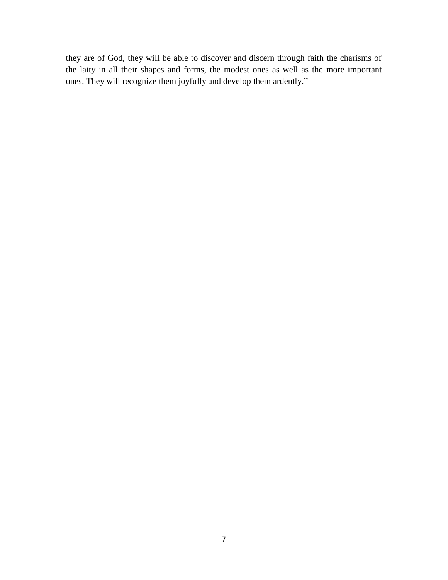they are of God, they will be able to discover and discern through faith the charisms of the laity in all their shapes and forms, the modest ones as well as the more important ones. They will recognize them joyfully and develop them ardently."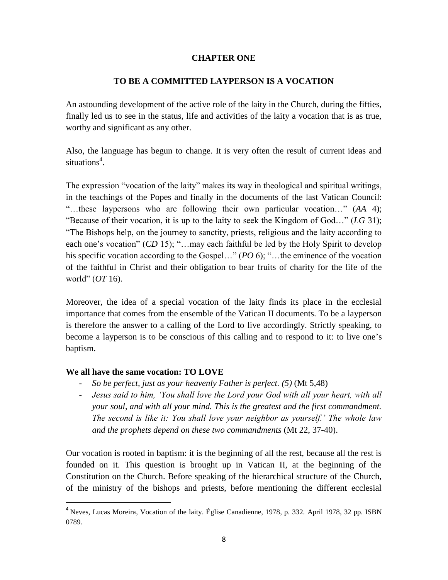## **CHAPTER ONE**

## **TO BE A COMMITTED LAYPERSON IS A VOCATION**

An astounding development of the active role of the laity in the Church, during the fifties, finally led us to see in the status, life and activities of the laity a vocation that is as true, worthy and significant as any other.

Also, the language has begun to change. It is very often the result of current ideas and situations<sup>4</sup>.

The expression "vocation of the laity" makes its way in theological and spiritual writings, in the teachings of the Popes and finally in the documents of the last Vatican Council: "…these laypersons who are following their own particular vocation…" (*AA* 4); "Because of their vocation, it is up to the laity to seek the Kingdom of God…" (*LG* 31); "The Bishops help, on the journey to sanctity, priests, religious and the laity according to each one's vocation" (*CD* 15); "...may each faithful be led by the Holy Spirit to develop his specific vocation according to the Gospel…" (*PO* 6); "…the eminence of the vocation of the faithful in Christ and their obligation to bear fruits of charity for the life of the world" (*OT* 16).

Moreover, the idea of a special vocation of the laity finds its place in the ecclesial importance that comes from the ensemble of the Vatican II documents. To be a layperson is therefore the answer to a calling of the Lord to live accordingly. Strictly speaking, to become a layperson is to be conscious of this calling and to respond to it: to live one's baptism.

## **We all have the same vocation: TO LOVE**

 $\overline{\phantom{a}}$ 

- *So be perfect, just as your heavenly Father is perfect. (5)* (Mt 5,48)
- *Jesus said to him, 'You shall love the Lord your God with all your heart, with all your soul, and with all your mind. This is the greatest and the first commandment. The second is like it: You shall love your neighbor as yourself.' The whole law and the prophets depend on these two commandments* (Mt 22, 37-40).

Our vocation is rooted in baptism: it is the beginning of all the rest, because all the rest is founded on it. This question is brought up in Vatican II, at the beginning of the Constitution on the Church. Before speaking of the hierarchical structure of the Church, of the ministry of the bishops and priests, before mentioning the different ecclesial

<sup>&</sup>lt;sup>4</sup> Neves, Lucas Moreira, Vocation of the laity. Église Canadienne, 1978, p. 332. April 1978, 32 pp. ISBN 0789.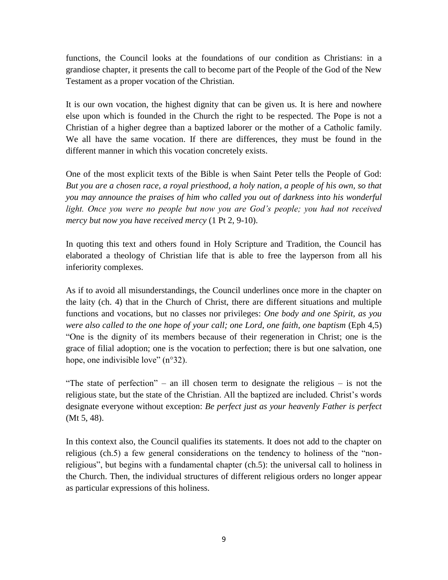functions, the Council looks at the foundations of our condition as Christians: in a grandiose chapter, it presents the call to become part of the People of the God of the New Testament as a proper vocation of the Christian.

It is our own vocation, the highest dignity that can be given us. It is here and nowhere else upon which is founded in the Church the right to be respected. The Pope is not a Christian of a higher degree than a baptized laborer or the mother of a Catholic family. We all have the same vocation. If there are differences, they must be found in the different manner in which this vocation concretely exists.

One of the most explicit texts of the Bible is when Saint Peter tells the People of God: *But you are a chosen race, a royal priesthood, a holy nation, a people of his own, so that you may announce the praises of him who called you out of darkness into his wonderful*  light. Once you were no people but now you are God's people; you had not received *mercy but now you have received mercy* (1 Pt 2, 9-10).

In quoting this text and others found in Holy Scripture and Tradition, the Council has elaborated a theology of Christian life that is able to free the layperson from all his inferiority complexes.

As if to avoid all misunderstandings, the Council underlines once more in the chapter on the laity (ch. 4) that in the Church of Christ, there are different situations and multiple functions and vocations, but no classes nor privileges: *One body and one Spirit, as you were also called to the one hope of your call; one Lord, one faith, one baptism* (Eph 4,5) "One is the dignity of its members because of their regeneration in Christ; one is the grace of filial adoption; one is the vocation to perfection; there is but one salvation, one hope, one indivisible love"  $(n°32)$ .

"The state of perfection" – an ill chosen term to designate the religious – is not the religious state, but the state of the Christian. All the baptized are included. Christ's words designate everyone without exception: *Be perfect just as your heavenly Father is perfect*  (Mt 5, 48).

In this context also, the Council qualifies its statements. It does not add to the chapter on religious (ch.5) a few general considerations on the tendency to holiness of the "nonreligious", but begins with a fundamental chapter (ch.5): the universal call to holiness in the Church. Then, the individual structures of different religious orders no longer appear as particular expressions of this holiness.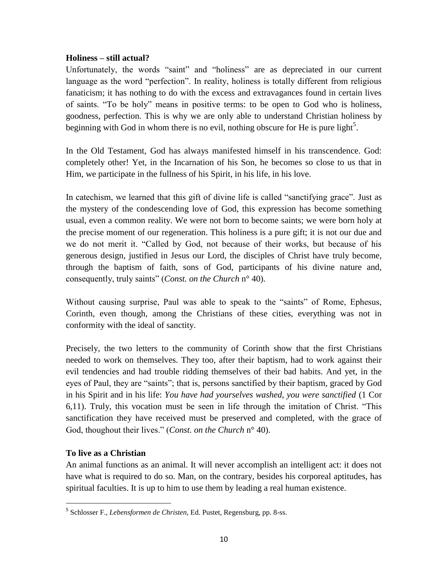## **Holiness – still actual?**

Unfortunately, the words "saint" and "holiness" are as depreciated in our current language as the word "perfection". In reality, holiness is totally different from religious fanaticism; it has nothing to do with the excess and extravagances found in certain lives of saints. "To be holy" means in positive terms: to be open to God who is holiness, goodness, perfection. This is why we are only able to understand Christian holiness by beginning with God in whom there is no evil, nothing obscure for He is pure light<sup>5</sup>.

In the Old Testament, God has always manifested himself in his transcendence. God: completely other! Yet, in the Incarnation of his Son, he becomes so close to us that in Him, we participate in the fullness of his Spirit, in his life, in his love.

In catechism, we learned that this gift of divine life is called "sanctifying grace". Just as the mystery of the condescending love of God, this expression has become something usual, even a common reality. We were not born to become saints; we were born holy at the precise moment of our regeneration. This holiness is a pure gift; it is not our due and we do not merit it. "Called by God, not because of their works, but because of his generous design, justified in Jesus our Lord, the disciples of Christ have truly become, through the baptism of faith, sons of God, participants of his divine nature and, consequently, truly saints" (*Const. on the Church* n° 40).

Without causing surprise, Paul was able to speak to the "saints" of Rome, Ephesus, Corinth, even though, among the Christians of these cities, everything was not in conformity with the ideal of sanctity.

Precisely, the two letters to the community of Corinth show that the first Christians needed to work on themselves. They too, after their baptism, had to work against their evil tendencies and had trouble ridding themselves of their bad habits. And yet, in the eyes of Paul, they are "saints"; that is, persons sanctified by their baptism, graced by God in his Spirit and in his life: *You have had yourselves washed, you were sanctified* (1 Cor 6,11). Truly, this vocation must be seen in life through the imitation of Christ. "This sanctification they have received must be preserved and completed, with the grace of God, thoughout their lives." (*Const. on the Church* n° 40).

# **To live as a Christian**

l

An animal functions as an animal. It will never accomplish an intelligent act: it does not have what is required to do so. Man, on the contrary, besides his corporeal aptitudes, has spiritual faculties. It is up to him to use them by leading a real human existence.

<sup>5</sup> Schlosser F., *Lebensformen de Christen*, Ed. Pustet, Regensburg, pp. 8-ss.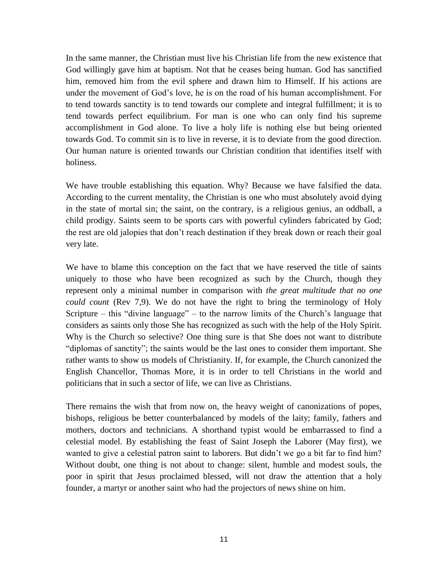In the same manner, the Christian must live his Christian life from the new existence that God willingly gave him at baptism. Not that he ceases being human. God has sanctified him, removed him from the evil sphere and drawn him to Himself. If his actions are under the movement of God's love, he is on the road of his human accomplishment. For to tend towards sanctity is to tend towards our complete and integral fulfillment; it is to tend towards perfect equilibrium. For man is one who can only find his supreme accomplishment in God alone. To live a holy life is nothing else but being oriented towards God. To commit sin is to live in reverse, it is to deviate from the good direction. Our human nature is oriented towards our Christian condition that identifies itself with holiness.

We have trouble establishing this equation. Why? Because we have falsified the data. According to the current mentality, the Christian is one who must absolutely avoid dying in the state of mortal sin; the saint, on the contrary, is a religious genius, an oddball, a child prodigy. Saints seem to be sports cars with powerful cylinders fabricated by God; the rest are old jalopies that don't reach destination if they break down or reach their goal very late.

We have to blame this conception on the fact that we have reserved the title of saints uniquely to those who have been recognized as such by the Church, though they represent only a minimal number in comparison with *the great multitude that no one could count* (Rev 7,9). We do not have the right to bring the terminology of Holy Scripture – this "divine language" – to the narrow limits of the Church's language that considers as saints only those She has recognized as such with the help of the Holy Spirit. Why is the Church so selective? One thing sure is that She does not want to distribute "diplomas of sanctity"; the saints would be the last ones to consider them important. She rather wants to show us models of Christianity. If, for example, the Church canonized the English Chancellor, Thomas More, it is in order to tell Christians in the world and politicians that in such a sector of life, we can live as Christians.

There remains the wish that from now on, the heavy weight of canonizations of popes, bishops, religious be better counterbalanced by models of the laity; family, fathers and mothers, doctors and technicians. A shorthand typist would be embarrassed to find a celestial model. By establishing the feast of Saint Joseph the Laborer (May first), we wanted to give a celestial patron saint to laborers. But didn't we go a bit far to find him? Without doubt, one thing is not about to change: silent, humble and modest souls, the poor in spirit that Jesus proclaimed blessed, will not draw the attention that a holy founder, a martyr or another saint who had the projectors of news shine on him.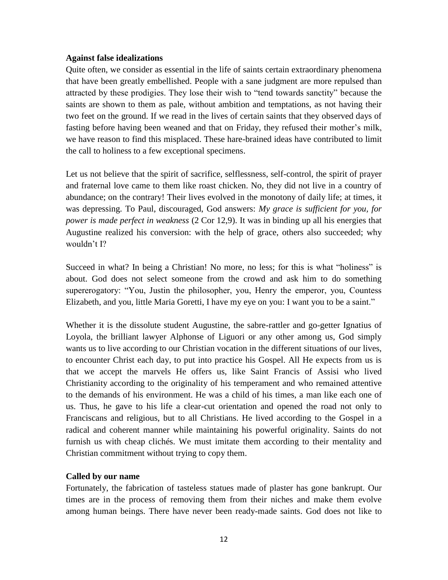## **Against false idealizations**

Quite often, we consider as essential in the life of saints certain extraordinary phenomena that have been greatly embellished. People with a sane judgment are more repulsed than attracted by these prodigies. They lose their wish to "tend towards sanctity" because the saints are shown to them as pale, without ambition and temptations, as not having their two feet on the ground. If we read in the lives of certain saints that they observed days of fasting before having been weaned and that on Friday, they refused their mother's milk, we have reason to find this misplaced. These hare-brained ideas have contributed to limit the call to holiness to a few exceptional specimens.

Let us not believe that the spirit of sacrifice, selflessness, self-control, the spirit of prayer and fraternal love came to them like roast chicken. No, they did not live in a country of abundance; on the contrary! Their lives evolved in the monotony of daily life; at times, it was depressing. To Paul, discouraged, God answers: *My grace is sufficient for you, for power is made perfect in weakness* (2 Cor 12,9). It was in binding up all his energies that Augustine realized his conversion: with the help of grace, others also succeeded; why wouldn't I?

Succeed in what? In being a Christian! No more, no less; for this is what "holiness" is about. God does not select someone from the crowd and ask him to do something supererogatory: "You, Justin the philosopher, you, Henry the emperor, you, Countess Elizabeth, and you, little Maria Goretti, I have my eye on you: I want you to be a saint."

Whether it is the dissolute student Augustine, the sabre-rattler and go-getter Ignatius of Loyola, the brilliant lawyer Alphonse of Liguori or any other among us, God simply wants us to live according to our Christian vocation in the different situations of our lives, to encounter Christ each day, to put into practice his Gospel. All He expects from us is that we accept the marvels He offers us, like Saint Francis of Assisi who lived Christianity according to the originality of his temperament and who remained attentive to the demands of his environment. He was a child of his times, a man like each one of us. Thus, he gave to his life a clear-cut orientation and opened the road not only to Franciscans and religious, but to all Christians. He lived according to the Gospel in a radical and coherent manner while maintaining his powerful originality. Saints do not furnish us with cheap clichés. We must imitate them according to their mentality and Christian commitment without trying to copy them.

## **Called by our name**

Fortunately, the fabrication of tasteless statues made of plaster has gone bankrupt. Our times are in the process of removing them from their niches and make them evolve among human beings. There have never been ready-made saints. God does not like to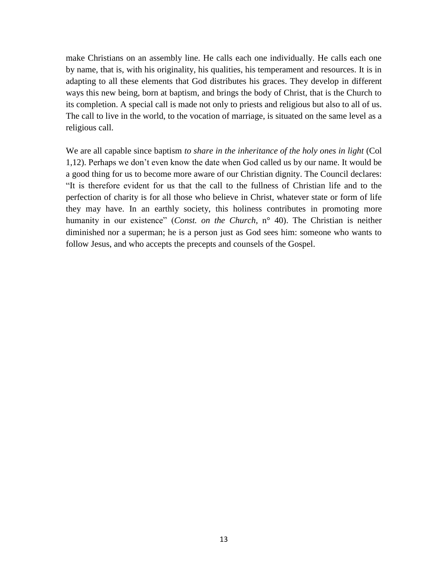make Christians on an assembly line. He calls each one individually. He calls each one by name, that is, with his originality, his qualities, his temperament and resources. It is in adapting to all these elements that God distributes his graces. They develop in different ways this new being, born at baptism, and brings the body of Christ, that is the Church to its completion. A special call is made not only to priests and religious but also to all of us. The call to live in the world, to the vocation of marriage, is situated on the same level as a religious call.

We are all capable since baptism *to share in the inheritance of the holy ones in light* (Col 1,12). Perhaps we don't even know the date when God called us by our name. It would be a good thing for us to become more aware of our Christian dignity. The Council declares: "It is therefore evident for us that the call to the fullness of Christian life and to the perfection of charity is for all those who believe in Christ, whatever state or form of life they may have. In an earthly society, this holiness contributes in promoting more humanity in our existence" (*Const. on the Church*, n° 40). The Christian is neither diminished nor a superman; he is a person just as God sees him: someone who wants to follow Jesus, and who accepts the precepts and counsels of the Gospel.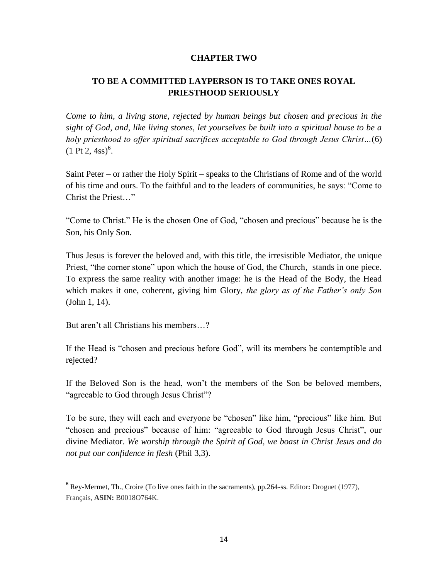### **CHAPTER TWO**

# **TO BE A COMMITTED LAYPERSON IS TO TAKE ONES ROYAL PRIESTHOOD SERIOUSLY**

*Come to him, a living stone, rejected by human beings but chosen and precious in the sight of God, and, like living stones, let yourselves be built into a spiritual house to be a holy priesthood to offer spiritual sacrifices acceptable to God through Jesus Christ…*(6)  $(1 \text{ Pt } 2, 4 \text{ss})^6$ .

Saint Peter – or rather the Holy Spirit – speaks to the Christians of Rome and of the world of his time and ours. To the faithful and to the leaders of communities, he says: "Come to Christ the Priest…"

"Come to Christ." He is the chosen One of God, "chosen and precious" because he is the Son, his Only Son.

Thus Jesus is forever the beloved and, with this title, the irresistible Mediator, the unique Priest, "the corner stone" upon which the house of God, the Church, stands in one piece. To express the same reality with another image: he is the Head of the Body, the Head which makes it one, coherent, giving him Glory, *the glory as of the Father's only Son*  (John 1, 14).

But aren't all Christians his members…?

l

If the Head is "chosen and precious before God", will its members be contemptible and rejected?

If the Beloved Son is the head, won't the members of the Son be beloved members, "agreeable to God through Jesus Christ"?

To be sure, they will each and everyone be "chosen" like him, "precious" like him. But "chosen and precious" because of him: "agreeable to God through Jesus Christ", our divine Mediator. *We worship through the Spirit of God, we boast in Christ Jesus and do not put our confidence in flesh* (Phil 3,3).

<sup>6</sup> Rey-Mermet, Th., Croire (To live ones faith in the sacraments), pp.264-ss. Editor**:** Droguet (1977), Français, **ASIN:** B0018O764K.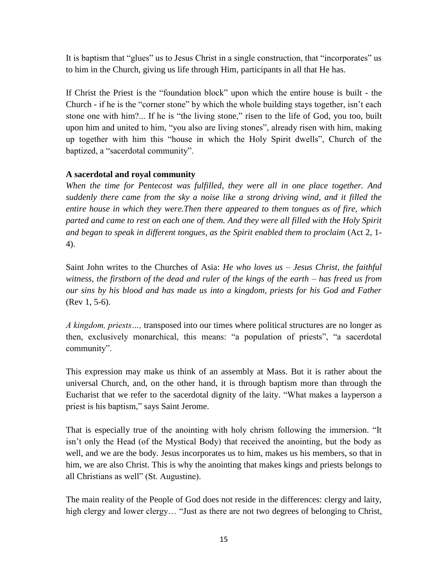It is baptism that "glues" us to Jesus Christ in a single construction, that "incorporates" us to him in the Church, giving us life through Him, participants in all that He has.

If Christ the Priest is the "foundation block" upon which the entire house is built - the Church - if he is the "corner stone" by which the whole building stays together, isn't each stone one with him?... If he is "the living stone," risen to the life of God, you too, built upon him and united to him, "you also are living stones", already risen with him, making up together with him this "house in which the Holy Spirit dwells", Church of the baptized, a "sacerdotal community".

# **A sacerdotal and royal community**

*When the time for Pentecost was fulfilled, they were all in one place together. And suddenly there came from the sky a noise like a strong driving wind, and it filled the entire house in which they were.Then there appeared to them tongues as of fire, which parted and came to rest on each one of them. And they were all filled with the Holy Spirit and began to speak in different tongues, as the Spirit enabled them to proclaim* (Act 2, 1- 4).

Saint John writes to the Churches of Asia: *He who loves us – Jesus Christ, the faithful witness, the firstborn of the dead and ruler of the kings of the earth – has freed us from our sins by his blood and has made us into a kingdom, priests for his God and Father*  (Rev 1, 5-6).

*A kingdom, priests…,* transposed into our times where political structures are no longer as then, exclusively monarchical, this means: "a population of priests", "a sacerdotal community".

This expression may make us think of an assembly at Mass. But it is rather about the universal Church, and, on the other hand, it is through baptism more than through the Eucharist that we refer to the sacerdotal dignity of the laity. "What makes a layperson a priest is his baptism," says Saint Jerome.

That is especially true of the anointing with holy chrism following the immersion. "It isn't only the Head (of the Mystical Body) that received the anointing, but the body as well, and we are the body. Jesus incorporates us to him, makes us his members, so that in him, we are also Christ. This is why the anointing that makes kings and priests belongs to all Christians as well" (St. Augustine).

The main reality of the People of God does not reside in the differences: clergy and laity, high clergy and lower clergy... "Just as there are not two degrees of belonging to Christ,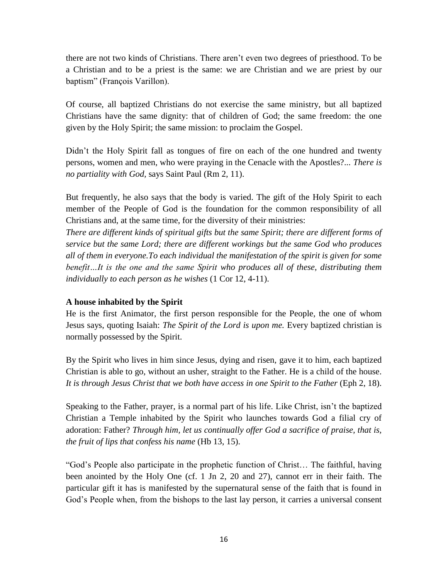there are not two kinds of Christians. There aren't even two degrees of priesthood. To be a Christian and to be a priest is the same: we are Christian and we are priest by our baptism" (François Varillon).

Of course, all baptized Christians do not exercise the same ministry, but all baptized Christians have the same dignity: that of children of God; the same freedom: the one given by the Holy Spirit; the same mission: to proclaim the Gospel.

Didn't the Holy Spirit fall as tongues of fire on each of the one hundred and twenty persons, women and men, who were praying in the Cenacle with the Apostles?... *There is no partiality with God,* says Saint Paul (Rm 2, 11).

But frequently, he also says that the body is varied. The gift of the Holy Spirit to each member of the People of God is the foundation for the common responsibility of all Christians and, at the same time, for the diversity of their ministries:

*There are different kinds of spiritual gifts but the same Spirit; there are different forms of service but the same Lord; there are different workings but the same God who produces all of them in everyone.To each individual the manifestation of the spirit is given for some benefit…It is the one and the same Spirit who produces all of these, distributing them individually to each person as he wishes* (1 Cor 12, 4-11).

# **A house inhabited by the Spirit**

He is the first Animator, the first person responsible for the People, the one of whom Jesus says, quoting Isaiah: *The Spirit of the Lord is upon me.* Every baptized christian is normally possessed by the Spirit.

By the Spirit who lives in him since Jesus, dying and risen, gave it to him, each baptized Christian is able to go, without an usher, straight to the Father. He is a child of the house. It is through Jesus Christ that we both have access in one Spirit to the Father (Eph 2, 18).

Speaking to the Father, prayer, is a normal part of his life. Like Christ, isn't the baptized Christian a Temple inhabited by the Spirit who launches towards God a filial cry of adoration: Father? *Through him, let us continually offer God a sacrifice of praise, that is, the fruit of lips that confess his name* (Hb 13, 15).

"God's People also participate in the prophetic function of Christ… The faithful, having been anointed by the Holy One (cf. 1 Jn 2, 20 and 27), cannot err in their faith. The particular gift it has is manifested by the supernatural sense of the faith that is found in God's People when, from the bishops to the last lay person, it carries a universal consent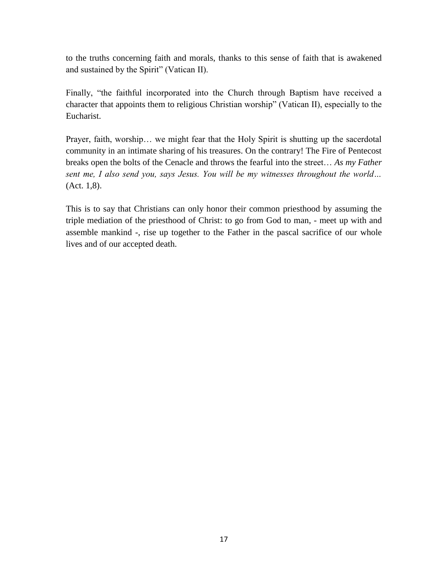to the truths concerning faith and morals, thanks to this sense of faith that is awakened and sustained by the Spirit" (Vatican II).

Finally, "the faithful incorporated into the Church through Baptism have received a character that appoints them to religious Christian worship" (Vatican II), especially to the Eucharist.

Prayer, faith, worship… we might fear that the Holy Spirit is shutting up the sacerdotal community in an intimate sharing of his treasures. On the contrary! The Fire of Pentecost breaks open the bolts of the Cenacle and throws the fearful into the street… *As my Father sent me, I also send you, says Jesus. You will be my witnesses throughout the world…*  (Act. 1,8).

This is to say that Christians can only honor their common priesthood by assuming the triple mediation of the priesthood of Christ: to go from God to man, - meet up with and assemble mankind -, rise up together to the Father in the pascal sacrifice of our whole lives and of our accepted death.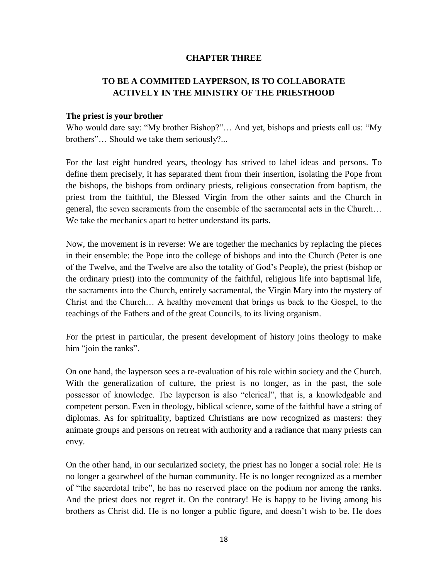#### **CHAPTER THREE**

# **TO BE A COMMITED LAYPERSON, IS TO COLLABORATE ACTIVELY IN THE MINISTRY OF THE PRIESTHOOD**

#### **The priest is your brother**

Who would dare say: "My brother Bishop?"… And yet, bishops and priests call us: "My brothers"… Should we take them seriously?...

For the last eight hundred years, theology has strived to label ideas and persons. To define them precisely, it has separated them from their insertion, isolating the Pope from the bishops, the bishops from ordinary priests, religious consecration from baptism, the priest from the faithful, the Blessed Virgin from the other saints and the Church in general, the seven sacraments from the ensemble of the sacramental acts in the Church… We take the mechanics apart to better understand its parts.

Now, the movement is in reverse: We are together the mechanics by replacing the pieces in their ensemble: the Pope into the college of bishops and into the Church (Peter is one of the Twelve, and the Twelve are also the totality of God's People), the priest (bishop or the ordinary priest) into the community of the faithful, religious life into baptismal life, the sacraments into the Church, entirely sacramental, the Virgin Mary into the mystery of Christ and the Church… A healthy movement that brings us back to the Gospel, to the teachings of the Fathers and of the great Councils, to its living organism.

For the priest in particular, the present development of history joins theology to make him "join the ranks".

On one hand, the layperson sees a re-evaluation of his role within society and the Church. With the generalization of culture, the priest is no longer, as in the past, the sole possessor of knowledge. The layperson is also "clerical", that is, a knowledgable and competent person. Even in theology, biblical science, some of the faithful have a string of diplomas. As for spirituality, baptized Christians are now recognized as masters: they animate groups and persons on retreat with authority and a radiance that many priests can envy.

On the other hand, in our secularized society, the priest has no longer a social role: He is no longer a gearwheel of the human community. He is no longer recognized as a member of "the sacerdotal tribe", he has no reserved place on the podium nor among the ranks. And the priest does not regret it. On the contrary! He is happy to be living among his brothers as Christ did. He is no longer a public figure, and doesn't wish to be. He does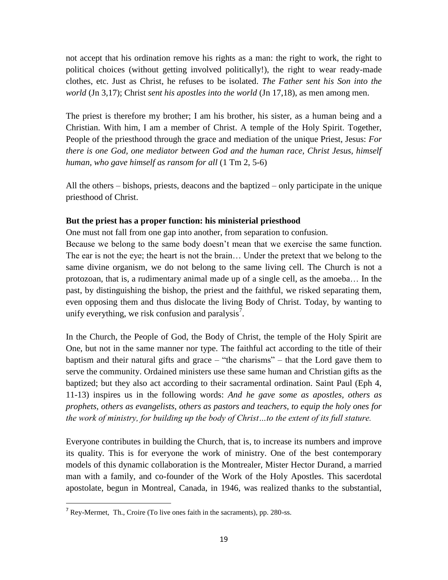not accept that his ordination remove his rights as a man: the right to work, the right to political choices (without getting involved politically!), the right to wear ready-made clothes, etc. Just as Christ, he refuses to be isolated. *The Father sent his Son into the world* (Jn 3,17); Christ *sent his apostles into the world* (Jn 17,18), as men among men.

The priest is therefore my brother; I am his brother, his sister, as a human being and a Christian. With him, I am a member of Christ. A temple of the Holy Spirit. Together, People of the priesthood through the grace and mediation of the unique Priest, Jesus: *For there is one God, one mediator between God and the human race, Christ Jesus, himself human, who gave himself as ransom for all* (1 Tm 2, 5-6)

All the others – bishops, priests, deacons and the baptized – only participate in the unique priesthood of Christ.

# **But the priest has a proper function: his ministerial priesthood**

One must not fall from one gap into another, from separation to confusion. Because we belong to the same body doesn't mean that we exercise the same function. The ear is not the eye; the heart is not the brain… Under the pretext that we belong to the same divine organism, we do not belong to the same living cell. The Church is not a protozoan, that is, a rudimentary animal made up of a single cell, as the amoeba… In the past, by distinguishing the bishop, the priest and the faithful, we risked separating them, even opposing them and thus dislocate the living Body of Christ. Today, by wanting to unify everything, we risk confusion and paralysis<sup>7</sup>.

In the Church, the People of God, the Body of Christ, the temple of the Holy Spirit are One, but not in the same manner nor type. The faithful act according to the title of their baptism and their natural gifts and grace – "the charisms" – that the Lord gave them to serve the community. Ordained ministers use these same human and Christian gifts as the baptized; but they also act according to their sacramental ordination. Saint Paul (Eph 4, 11-13) inspires us in the following words: *And he gave some as apostles, others as prophets, others as evangelists, others as pastors and teachers, to equip the holy ones for the work of ministry, for building up the body of Christ…to the extent of its full stature.*

Everyone contributes in building the Church, that is, to increase its numbers and improve its quality. This is for everyone the work of ministry. One of the best contemporary models of this dynamic collaboration is the Montrealer, Mister Hector Durand, a married man with a family, and co-founder of the Work of the Holy Apostles. This sacerdotal apostolate, begun in Montreal, Canada, in 1946, was realized thanks to the substantial,

l

 $<sup>7</sup>$  Rey-Mermet, Th., Croire (To live ones faith in the sacraments), pp. 280-ss.</sup>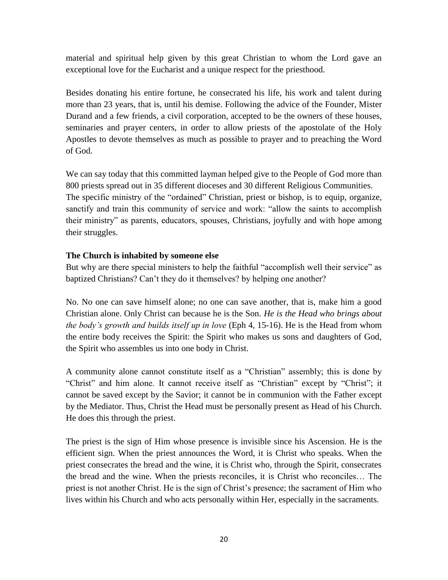material and spiritual help given by this great Christian to whom the Lord gave an exceptional love for the Eucharist and a unique respect for the priesthood.

Besides donating his entire fortune, he consecrated his life, his work and talent during more than 23 years, that is, until his demise. Following the advice of the Founder, Mister Durand and a few friends, a civil corporation, accepted to be the owners of these houses, seminaries and prayer centers, in order to allow priests of the apostolate of the Holy Apostles to devote themselves as much as possible to prayer and to preaching the Word of God.

We can say today that this committed layman helped give to the People of God more than 800 priests spread out in 35 different dioceses and 30 different Religious Communities. The specific ministry of the "ordained" Christian, priest or bishop, is to equip, organize, sanctify and train this community of service and work: "allow the saints to accomplish their ministry" as parents, educators, spouses, Christians, joyfully and with hope among their struggles.

## **The Church is inhabited by someone else**

But why are there special ministers to help the faithful "accomplish well their service" as baptized Christians? Can't they do it themselves? by helping one another?

No. No one can save himself alone; no one can save another, that is, make him a good Christian alone. Only Christ can because he is the Son. *He is the Head who brings about the body's growth and builds itself up in love* (Eph 4, 15-16). He is the Head from whom the entire body receives the Spirit: the Spirit who makes us sons and daughters of God, the Spirit who assembles us into one body in Christ.

A community alone cannot constitute itself as a "Christian" assembly; this is done by "Christ" and him alone. It cannot receive itself as "Christian" except by "Christ"; it cannot be saved except by the Savior; it cannot be in communion with the Father except by the Mediator. Thus, Christ the Head must be personally present as Head of his Church. He does this through the priest.

The priest is the sign of Him whose presence is invisible since his Ascension. He is the efficient sign. When the priest announces the Word, it is Christ who speaks. When the priest consecrates the bread and the wine, it is Christ who, through the Spirit, consecrates the bread and the wine. When the priests reconciles, it is Christ who reconciles… The priest is not another Christ. He is the sign of Christ's presence; the sacrament of Him who lives within his Church and who acts personally within Her, especially in the sacraments.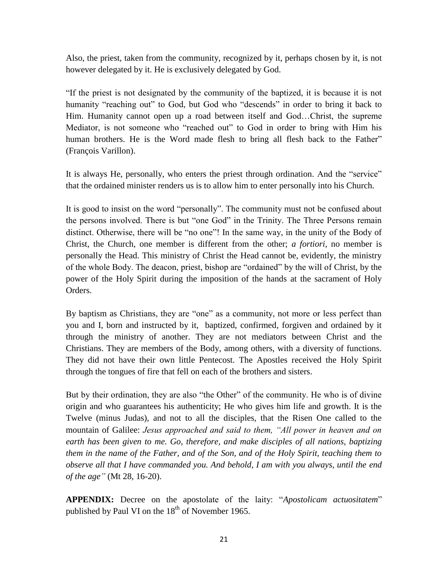Also, the priest, taken from the community, recognized by it, perhaps chosen by it, is not however delegated by it. He is exclusively delegated by God.

"If the priest is not designated by the community of the baptized, it is because it is not humanity "reaching out" to God, but God who "descends" in order to bring it back to Him. Humanity cannot open up a road between itself and God…Christ, the supreme Mediator, is not someone who "reached out" to God in order to bring with Him his human brothers. He is the Word made flesh to bring all flesh back to the Father" (François Varillon).

It is always He, personally, who enters the priest through ordination. And the "service" that the ordained minister renders us is to allow him to enter personally into his Church.

It is good to insist on the word "personally". The community must not be confused about the persons involved. There is but "one God" in the Trinity. The Three Persons remain distinct. Otherwise, there will be "no one"! In the same way, in the unity of the Body of Christ, the Church, one member is different from the other; *a fortiori*, no member is personally the Head. This ministry of Christ the Head cannot be, evidently, the ministry of the whole Body. The deacon, priest, bishop are "ordained" by the will of Christ, by the power of the Holy Spirit during the imposition of the hands at the sacrament of Holy Orders.

By baptism as Christians, they are "one" as a community, not more or less perfect than you and I, born and instructed by it, baptized, confirmed, forgiven and ordained by it through the ministry of another. They are not mediators between Christ and the Christians. They are members of the Body, among others, with a diversity of functions. They did not have their own little Pentecost. The Apostles received the Holy Spirit through the tongues of fire that fell on each of the brothers and sisters.

But by their ordination, they are also "the Other" of the community. He who is of divine origin and who guarantees his authenticity; He who gives him life and growth. It is the Twelve (minus Judas), and not to all the disciples, that the Risen One called to the mountain of Galilee: *Jesus approached and said to them, "All power in heaven and on earth has been given to me. Go, therefore, and make disciples of all nations, baptizing them in the name of the Father, and of the Son, and of the Holy Spirit, teaching them to observe all that I have commanded you. And behold, I am with you always, until the end of the age"* (Mt 28, 16-20).

**APPENDIX:** Decree on the apostolate of the laity: "*Apostolicam actuositatem*" published by Paul VI on the  $18<sup>th</sup>$  of November 1965.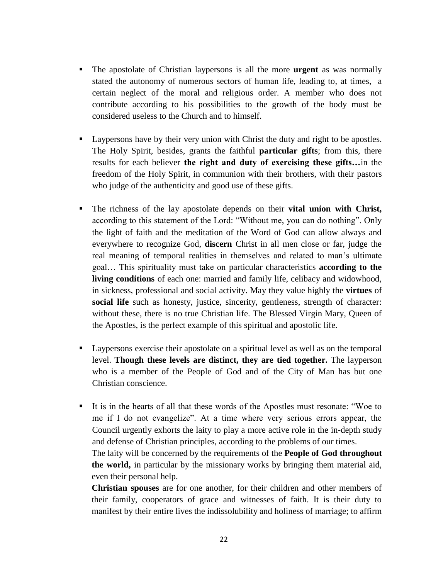- The apostolate of Christian laypersons is all the more **urgent** as was normally stated the autonomy of numerous sectors of human life, leading to, at times, a certain neglect of the moral and religious order. A member who does not contribute according to his possibilities to the growth of the body must be considered useless to the Church and to himself.
- **Laypersons have by their very union with Christ the duty and right to be apostles.** The Holy Spirit, besides, grants the faithful **particular gifts**; from this, there results for each believer **the right and duty of exercising these gifts…**in the freedom of the Holy Spirit, in communion with their brothers, with their pastors who judge of the authenticity and good use of these gifts.
- The richness of the lay apostolate depends on their **vital union with Christ,**  according to this statement of the Lord: "Without me, you can do nothing". Only the light of faith and the meditation of the Word of God can allow always and everywhere to recognize God, **discern** Christ in all men close or far, judge the real meaning of temporal realities in themselves and related to man's ultimate goal… This spirituality must take on particular characteristics **according to the living conditions** of each one: married and family life, celibacy and widowhood, in sickness, professional and social activity. May they value highly the **virtues** of **social life** such as honesty, justice, sincerity, gentleness, strength of character: without these, there is no true Christian life. The Blessed Virgin Mary, Queen of the Apostles, is the perfect example of this spiritual and apostolic life.
- **Laypersons exercise their apostolate on a spiritual level as well as on the temporal** level. **Though these levels are distinct, they are tied together.** The layperson who is a member of the People of God and of the City of Man has but one Christian conscience.
- It is in the hearts of all that these words of the Apostles must resonate: "Woe to me if I do not evangelize". At a time where very serious errors appear, the Council urgently exhorts the laity to play a more active role in the in-depth study and defense of Christian principles, according to the problems of our times. The laity will be concerned by the requirements of the **People of God throughout the world,** in particular by the missionary works by bringing them material aid, even their personal help.

**Christian spouses** are for one another, for their children and other members of their family, cooperators of grace and witnesses of faith. It is their duty to manifest by their entire lives the indissolubility and holiness of marriage; to affirm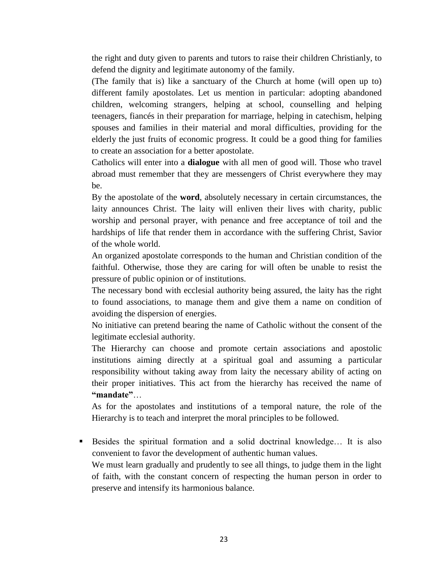the right and duty given to parents and tutors to raise their children Christianly, to defend the dignity and legitimate autonomy of the family.

(The family that is) like a sanctuary of the Church at home (will open up to) different family apostolates. Let us mention in particular: adopting abandoned children, welcoming strangers, helping at school, counselling and helping teenagers, fiancés in their preparation for marriage, helping in catechism, helping spouses and families in their material and moral difficulties, providing for the elderly the just fruits of economic progress. It could be a good thing for families to create an association for a better apostolate.

Catholics will enter into a **dialogue** with all men of good will. Those who travel abroad must remember that they are messengers of Christ everywhere they may be.

By the apostolate of the **word**, absolutely necessary in certain circumstances, the laity announces Christ. The laity will enliven their lives with charity, public worship and personal prayer, with penance and free acceptance of toil and the hardships of life that render them in accordance with the suffering Christ, Savior of the whole world.

An organized apostolate corresponds to the human and Christian condition of the faithful. Otherwise, those they are caring for will often be unable to resist the pressure of public opinion or of institutions.

The necessary bond with ecclesial authority being assured, the laity has the right to found associations, to manage them and give them a name on condition of avoiding the dispersion of energies.

No initiative can pretend bearing the name of Catholic without the consent of the legitimate ecclesial authority.

The Hierarchy can choose and promote certain associations and apostolic institutions aiming directly at a spiritual goal and assuming a particular responsibility without taking away from laity the necessary ability of acting on their proper initiatives. This act from the hierarchy has received the name of **"mandate"**…

As for the apostolates and institutions of a temporal nature, the role of the Hierarchy is to teach and interpret the moral principles to be followed.

Besides the spiritual formation and a solid doctrinal knowledge... It is also convenient to favor the development of authentic human values. We must learn gradually and prudently to see all things, to judge them in the light of faith, with the constant concern of respecting the human person in order to preserve and intensify its harmonious balance.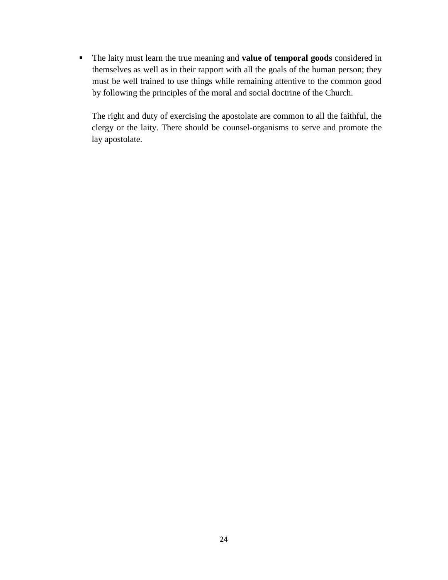The laity must learn the true meaning and **value of temporal goods** considered in themselves as well as in their rapport with all the goals of the human person; they must be well trained to use things while remaining attentive to the common good by following the principles of the moral and social doctrine of the Church.

The right and duty of exercising the apostolate are common to all the faithful, the clergy or the laity. There should be counsel-organisms to serve and promote the lay apostolate.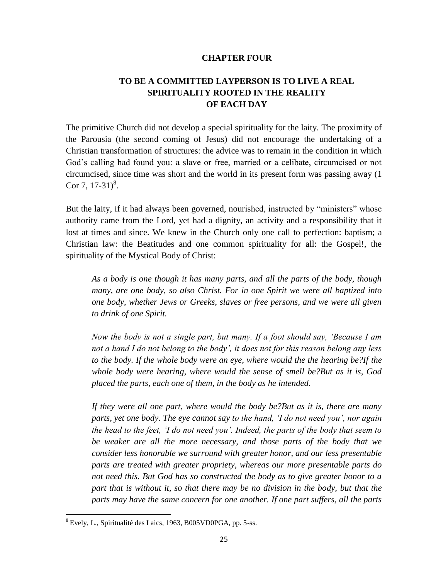#### **CHAPTER FOUR**

# **TO BE A COMMITTED LAYPERSON IS TO LIVE A REAL SPIRITUALITY ROOTED IN THE REALITY OF EACH DAY**

The primitive Church did not develop a special spirituality for the laity. The proximity of the Parousia (the second coming of Jesus) did not encourage the undertaking of a Christian transformation of structures: the advice was to remain in the condition in which God's calling had found you: a slave or free, married or a celibate, circumcised or not circumcised, since time was short and the world in its present form was passing away (1 Cor 7, 17-31)<sup>8</sup>.

But the laity, if it had always been governed, nourished, instructed by "ministers" whose authority came from the Lord, yet had a dignity, an activity and a responsibility that it lost at times and since. We knew in the Church only one call to perfection: baptism; a Christian law: the Beatitudes and one common spirituality for all: the Gospel!, the spirituality of the Mystical Body of Christ:

*As a body is one though it has many parts, and all the parts of the body, though many, are one body, so also Christ. For in one Spirit we were all baptized into one body, whether Jews or Greeks, slaves or free persons, and we were all given to drink of one Spirit.*

*Now the body is not a single part, but many. If a foot should say, 'Because I am not a hand I do not belong to the body', it does not for this reason belong any less to the body. If the whole body were an eye, where would the the hearing be?If the whole body were hearing, where would the sense of smell be?But as it is, God placed the parts, each one of them, in the body as he intended.* 

*If they were all one part, where would the body be?But as it is, there are many parts, yet one body. The eye cannot say to the hand, 'I do not need you', nor again the head to the feet, 'I do not need you'. Indeed, the parts of the body that seem to be weaker are all the more necessary, and those parts of the body that we consider less honorable we surround with greater honor, and our less presentable parts are treated with greater propriety, whereas our more presentable parts do not need this. But God has so constructed the body as to give greater honor to a part that is without it, so that there may be no division in the body, but that the parts may have the same concern for one another. If one part suffers, all the parts* 

 $\overline{\phantom{a}}$ 

<sup>&</sup>lt;sup>8</sup> Evely, L., Spiritualité des Laics, 1963, B005VD0PGA, pp. 5-ss.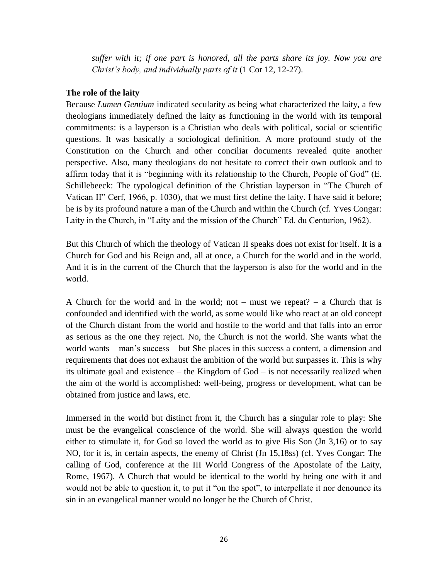*suffer with it; if one part is honored, all the parts share its joy. Now you are Christ's body, and individually parts of it* (1 Cor 12, 12-27).

## **The role of the laity**

Because *Lumen Gentium* indicated secularity as being what characterized the laity, a few theologians immediately defined the laity as functioning in the world with its temporal commitments: is a layperson is a Christian who deals with political, social or scientific questions. It was basically a sociological definition. A more profound study of the Constitution on the Church and other conciliar documents revealed quite another perspective. Also, many theologians do not hesitate to correct their own outlook and to affirm today that it is "beginning with its relationship to the Church, People of God" (E. Schillebeeck: The typological definition of the Christian layperson in "The Church of Vatican II" Cerf, 1966, p. 1030), that we must first define the laity. I have said it before; he is by its profound nature a man of the Church and within the Church (cf. Yves Congar: Laity in the Church, in "Laity and the mission of the Church" Ed. du Centurion, 1962).

But this Church of which the theology of Vatican II speaks does not exist for itself. It is a Church for God and his Reign and, all at once, a Church for the world and in the world. And it is in the current of the Church that the layperson is also for the world and in the world.

A Church for the world and in the world; not – must we repeat? – a Church that is confounded and identified with the world, as some would like who react at an old concept of the Church distant from the world and hostile to the world and that falls into an error as serious as the one they reject. No, the Church is not the world. She wants what the world wants – man's success – but She places in this success a content, a dimension and requirements that does not exhaust the ambition of the world but surpasses it. This is why its ultimate goal and existence – the Kingdom of God – is not necessarily realized when the aim of the world is accomplished: well-being, progress or development, what can be obtained from justice and laws, etc.

Immersed in the world but distinct from it, the Church has a singular role to play: She must be the evangelical conscience of the world. She will always question the world either to stimulate it, for God so loved the world as to give His Son (Jn 3,16) or to say NO, for it is, in certain aspects, the enemy of Christ (Jn 15,18ss) (cf. Yves Congar: The calling of God, conference at the III World Congress of the Apostolate of the Laity, Rome, 1967). A Church that would be identical to the world by being one with it and would not be able to question it, to put it "on the spot", to interpellate it nor denounce its sin in an evangelical manner would no longer be the Church of Christ.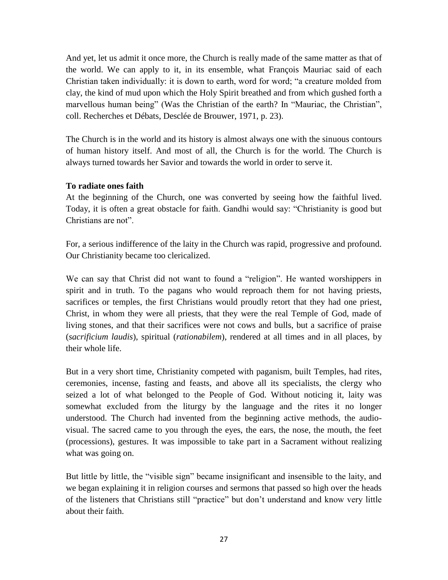And yet, let us admit it once more, the Church is really made of the same matter as that of the world. We can apply to it, in its ensemble, what François Mauriac said of each Christian taken individually: it is down to earth, word for word; "a creature molded from clay, the kind of mud upon which the Holy Spirit breathed and from which gushed forth a marvellous human being" (Was the Christian of the earth? In "Mauriac, the Christian", coll. Recherches et Débats, Desclée de Brouwer, 1971, p. 23).

The Church is in the world and its history is almost always one with the sinuous contours of human history itself. And most of all, the Church is for the world. The Church is always turned towards her Savior and towards the world in order to serve it.

# **To radiate ones faith**

At the beginning of the Church, one was converted by seeing how the faithful lived. Today, it is often a great obstacle for faith. Gandhi would say: "Christianity is good but Christians are not".

For, a serious indifference of the laity in the Church was rapid, progressive and profound. Our Christianity became too clericalized.

We can say that Christ did not want to found a "religion". He wanted worshippers in spirit and in truth. To the pagans who would reproach them for not having priests, sacrifices or temples, the first Christians would proudly retort that they had one priest, Christ, in whom they were all priests, that they were the real Temple of God, made of living stones, and that their sacrifices were not cows and bulls, but a sacrifice of praise (*sacrificium laudis*), spiritual (*rationabilem*), rendered at all times and in all places, by their whole life.

But in a very short time, Christianity competed with paganism, built Temples, had rites, ceremonies, incense, fasting and feasts, and above all its specialists, the clergy who seized a lot of what belonged to the People of God. Without noticing it, laity was somewhat excluded from the liturgy by the language and the rites it no longer understood. The Church had invented from the beginning active methods, the audiovisual. The sacred came to you through the eyes, the ears, the nose, the mouth, the feet (processions), gestures. It was impossible to take part in a Sacrament without realizing what was going on.

But little by little, the "visible sign" became insignificant and insensible to the laity, and we began explaining it in religion courses and sermons that passed so high over the heads of the listeners that Christians still "practice" but don't understand and know very little about their faith.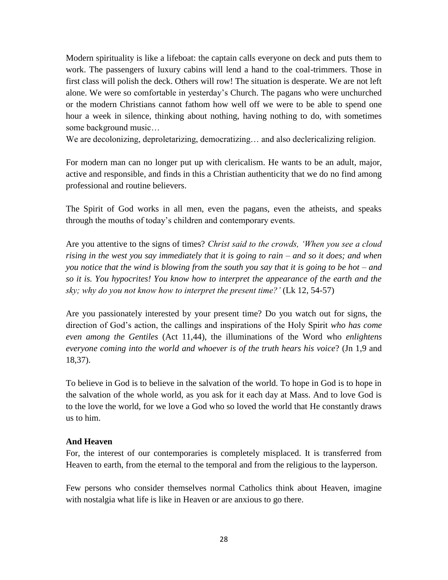Modern spirituality is like a lifeboat: the captain calls everyone on deck and puts them to work. The passengers of luxury cabins will lend a hand to the coal-trimmers. Those in first class will polish the deck. Others will row! The situation is desperate. We are not left alone. We were so comfortable in yesterday's Church. The pagans who were unchurched or the modern Christians cannot fathom how well off we were to be able to spend one hour a week in silence, thinking about nothing, having nothing to do, with sometimes some background music…

We are decolonizing, deproletarizing, democratizing… and also declericalizing religion.

For modern man can no longer put up with clericalism. He wants to be an adult, major, active and responsible, and finds in this a Christian authenticity that we do no find among professional and routine believers.

The Spirit of God works in all men, even the pagans, even the atheists, and speaks through the mouths of today's children and contemporary events.

Are you attentive to the signs of times? *Christ said to the crowds, 'When you see a cloud rising in the west you say immediately that it is going to rain – and so it does; and when you notice that the wind is blowing from the south you say that it is going to be hot – and so it is. You hypocrites! You know how to interpret the appearance of the earth and the sky; why do you not know how to interpret the present time?'* (Lk 12, 54-57)

Are you passionately interested by your present time? Do you watch out for signs, the direction of God's action, the callings and inspirations of the Holy Spirit *who has come even among the Gentiles* (Act 11,44), the illuminations of the Word who *enlightens everyone coming into the world and whoever is of the truth hears his voice*? (Jn 1,9 and 18,37).

To believe in God is to believe in the salvation of the world. To hope in God is to hope in the salvation of the whole world, as you ask for it each day at Mass. And to love God is to the love the world, for we love a God who so loved the world that He constantly draws us to him.

## **And Heaven**

For, the interest of our contemporaries is completely misplaced. It is transferred from Heaven to earth, from the eternal to the temporal and from the religious to the layperson.

Few persons who consider themselves normal Catholics think about Heaven, imagine with nostalgia what life is like in Heaven or are anxious to go there.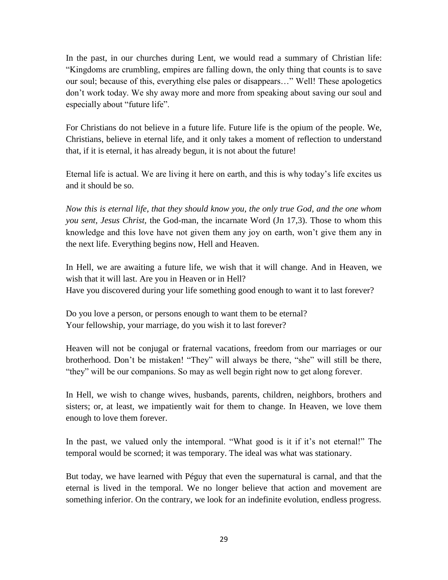In the past, in our churches during Lent, we would read a summary of Christian life: "Kingdoms are crumbling, empires are falling down, the only thing that counts is to save our soul; because of this, everything else pales or disappears…" Well! These apologetics don't work today. We shy away more and more from speaking about saving our soul and especially about "future life".

For Christians do not believe in a future life. Future life is the opium of the people. We, Christians, believe in eternal life, and it only takes a moment of reflection to understand that, if it is eternal, it has already begun, it is not about the future!

Eternal life is actual. We are living it here on earth, and this is why today's life excites us and it should be so.

*Now this is eternal life, that they should know you, the only true God, and the one whom you sent, Jesus Christ,* the God-man, the incarnate Word (Jn 17,3). Those to whom this knowledge and this love have not given them any joy on earth, won't give them any in the next life. Everything begins now, Hell and Heaven.

In Hell, we are awaiting a future life, we wish that it will change. And in Heaven, we wish that it will last. Are you in Heaven or in Hell? Have you discovered during your life something good enough to want it to last forever?

Do you love a person, or persons enough to want them to be eternal? Your fellowship, your marriage, do you wish it to last forever?

Heaven will not be conjugal or fraternal vacations, freedom from our marriages or our brotherhood. Don't be mistaken! "They" will always be there, "she" will still be there, "they" will be our companions. So may as well begin right now to get along forever.

In Hell, we wish to change wives, husbands, parents, children, neighbors, brothers and sisters; or, at least, we impatiently wait for them to change. In Heaven, we love them enough to love them forever.

In the past, we valued only the intemporal. "What good is it if it's not eternal!" The temporal would be scorned; it was temporary. The ideal was what was stationary.

But today, we have learned with Péguy that even the supernatural is carnal, and that the eternal is lived in the temporal. We no longer believe that action and movement are something inferior. On the contrary, we look for an indefinite evolution, endless progress.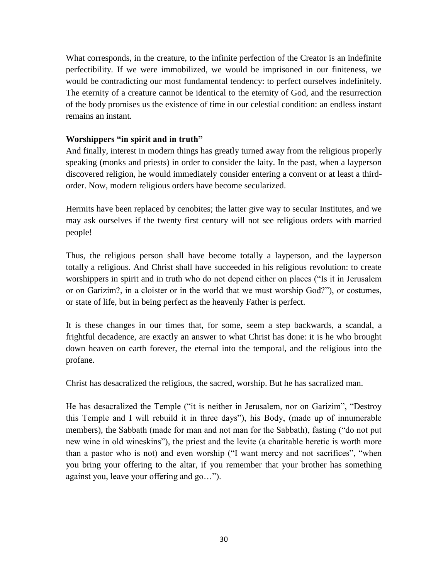What corresponds, in the creature, to the infinite perfection of the Creator is an indefinite perfectibility. If we were immobilized, we would be imprisoned in our finiteness, we would be contradicting our most fundamental tendency: to perfect ourselves indefinitely. The eternity of a creature cannot be identical to the eternity of God, and the resurrection of the body promises us the existence of time in our celestial condition: an endless instant remains an instant.

## **Worshippers "in spirit and in truth"**

And finally, interest in modern things has greatly turned away from the religious properly speaking (monks and priests) in order to consider the laity. In the past, when a layperson discovered religion, he would immediately consider entering a convent or at least a thirdorder. Now, modern religious orders have become secularized.

Hermits have been replaced by cenobites; the latter give way to secular Institutes, and we may ask ourselves if the twenty first century will not see religious orders with married people!

Thus, the religious person shall have become totally a layperson, and the layperson totally a religious. And Christ shall have succeeded in his religious revolution: to create worshippers in spirit and in truth who do not depend either on places ("Is it in Jerusalem or on Garizim?, in a cloister or in the world that we must worship God?"), or costumes, or state of life, but in being perfect as the heavenly Father is perfect.

It is these changes in our times that, for some, seem a step backwards, a scandal, a frightful decadence, are exactly an answer to what Christ has done: it is he who brought down heaven on earth forever, the eternal into the temporal, and the religious into the profane.

Christ has desacralized the religious, the sacred, worship. But he has sacralized man.

He has desacralized the Temple ("it is neither in Jerusalem, nor on Garizim", "Destroy this Temple and I will rebuild it in three days"), his Body, (made up of innumerable members), the Sabbath (made for man and not man for the Sabbath), fasting ("do not put new wine in old wineskins"), the priest and the levite (a charitable heretic is worth more than a pastor who is not) and even worship ("I want mercy and not sacrifices", "when you bring your offering to the altar, if you remember that your brother has something against you, leave your offering and go…").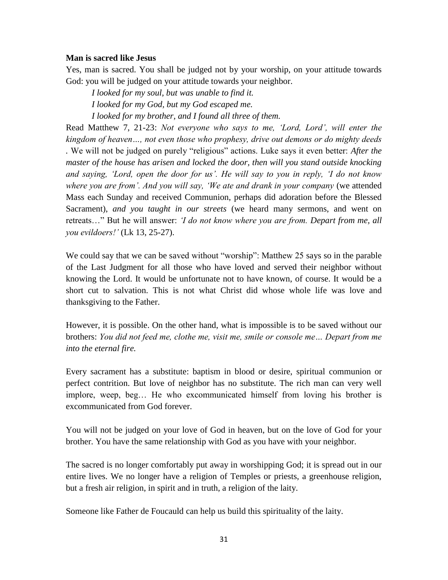### **Man is sacred like Jesus**

Yes, man is sacred. You shall be judged not by your worship, on your attitude towards God: you will be judged on your attitude towards your neighbor.

*I looked for my soul, but was unable to find it. I looked for my God, but my God escaped me. I looked for my brother, and I found all three of them.*

Read Matthew 7, 21-23: *Not everyone who says to me, 'Lord, Lord', will enter the kingdom of heaven…, not even those who prophesy, drive out demons or do mighty deeds .* We will not be judged on purely "religious" actions. Luke says it even better: *After the master of the house has arisen and locked the door, then will you stand outside knocking and saying, 'Lord, open the door for us'. He will say to you in reply, 'I do not know where you are from'. And you will say, 'We ate and drank in your company* (we attended Mass each Sunday and received Communion, perhaps did adoration before the Blessed Sacrament), *and you taught in our streets* (we heard many sermons, and went on retreats…" But he will answer: *'I do not know where you are from. Depart from me, all you evildoers!'* (Lk 13, 25-27).

We could say that we can be saved without "worship": Matthew 25 says so in the parable of the Last Judgment for all those who have loved and served their neighbor without knowing the Lord. It would be unfortunate not to have known, of course. It would be a short cut to salvation. This is not what Christ did whose whole life was love and thanksgiving to the Father.

However, it is possible. On the other hand, what is impossible is to be saved without our brothers: *You did not feed me, clothe me, visit me, smile or console me… Depart from me into the eternal fire.* 

Every sacrament has a substitute: baptism in blood or desire, spiritual communion or perfect contrition. But love of neighbor has no substitute. The rich man can very well implore, weep, beg… He who excommunicated himself from loving his brother is excommunicated from God forever.

You will not be judged on your love of God in heaven, but on the love of God for your brother. You have the same relationship with God as you have with your neighbor.

The sacred is no longer comfortably put away in worshipping God; it is spread out in our entire lives. We no longer have a religion of Temples or priests, a greenhouse religion, but a fresh air religion, in spirit and in truth, a religion of the laity.

Someone like Father de Foucauld can help us build this spirituality of the laity.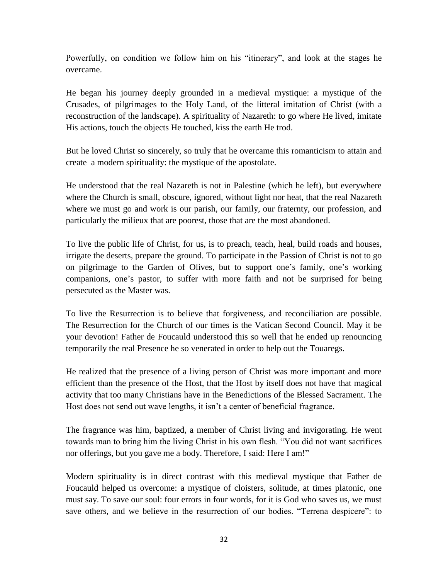Powerfully, on condition we follow him on his "itinerary", and look at the stages he overcame.

He began his journey deeply grounded in a medieval mystique: a mystique of the Crusades, of pilgrimages to the Holy Land, of the litteral imitation of Christ (with a reconstruction of the landscape). A spirituality of Nazareth: to go where He lived, imitate His actions, touch the objects He touched, kiss the earth He trod.

But he loved Christ so sincerely, so truly that he overcame this romanticism to attain and create a modern spirituality: the mystique of the apostolate.

He understood that the real Nazareth is not in Palestine (which he left), but everywhere where the Church is small, obscure, ignored, without light nor heat, that the real Nazareth where we must go and work is our parish, our family, our fraternty, our profession, and particularly the milieux that are poorest, those that are the most abandoned.

To live the public life of Christ, for us, is to preach, teach, heal, build roads and houses, irrigate the deserts, prepare the ground. To participate in the Passion of Christ is not to go on pilgrimage to the Garden of Olives, but to support one's family, one's working companions, one's pastor, to suffer with more faith and not be surprised for being persecuted as the Master was.

To live the Resurrection is to believe that forgiveness, and reconciliation are possible. The Resurrection for the Church of our times is the Vatican Second Council. May it be your devotion! Father de Foucauld understood this so well that he ended up renouncing temporarily the real Presence he so venerated in order to help out the Touaregs.

He realized that the presence of a living person of Christ was more important and more efficient than the presence of the Host, that the Host by itself does not have that magical activity that too many Christians have in the Benedictions of the Blessed Sacrament. The Host does not send out wave lengths, it isn't a center of beneficial fragrance.

The fragrance was him, baptized, a member of Christ living and invigorating. He went towards man to bring him the living Christ in his own flesh. "You did not want sacrifices nor offerings, but you gave me a body. Therefore, I said: Here I am!"

Modern spirituality is in direct contrast with this medieval mystique that Father de Foucauld helped us overcome: a mystique of cloisters, solitude, at times platonic, one must say. To save our soul: four errors in four words, for it is God who saves us, we must save others, and we believe in the resurrection of our bodies. "Terrena despicere": to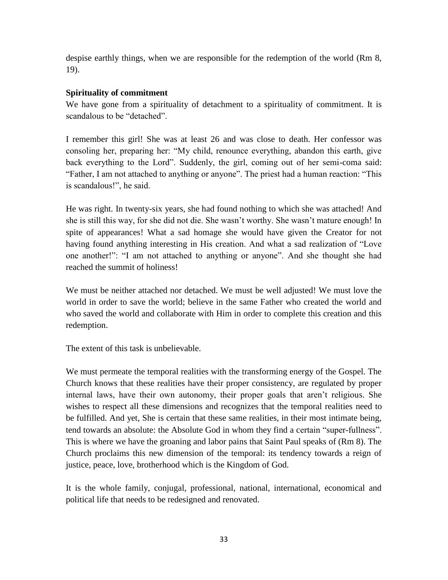despise earthly things, when we are responsible for the redemption of the world (Rm 8, 19).

# **Spirituality of commitment**

We have gone from a spirituality of detachment to a spirituality of commitment. It is scandalous to be "detached".

I remember this girl! She was at least 26 and was close to death. Her confessor was consoling her, preparing her: "My child, renounce everything, abandon this earth, give back everything to the Lord". Suddenly, the girl, coming out of her semi-coma said: "Father, I am not attached to anything or anyone". The priest had a human reaction: "This is scandalous!", he said.

He was right. In twenty-six years, she had found nothing to which she was attached! And she is still this way, for she did not die. She wasn't worthy. She wasn't mature enough! In spite of appearances! What a sad homage she would have given the Creator for not having found anything interesting in His creation. And what a sad realization of "Love one another!": "I am not attached to anything or anyone". And she thought she had reached the summit of holiness!

We must be neither attached nor detached. We must be well adjusted! We must love the world in order to save the world; believe in the same Father who created the world and who saved the world and collaborate with Him in order to complete this creation and this redemption.

The extent of this task is unbelievable.

We must permeate the temporal realities with the transforming energy of the Gospel. The Church knows that these realities have their proper consistency, are regulated by proper internal laws, have their own autonomy, their proper goals that aren't religious. She wishes to respect all these dimensions and recognizes that the temporal realities need to be fulfilled. And yet, She is certain that these same realities, in their most intimate being, tend towards an absolute: the Absolute God in whom they find a certain "super-fullness". This is where we have the groaning and labor pains that Saint Paul speaks of (Rm 8). The Church proclaims this new dimension of the temporal: its tendency towards a reign of justice, peace, love, brotherhood which is the Kingdom of God.

It is the whole family, conjugal, professional, national, international, economical and political life that needs to be redesigned and renovated.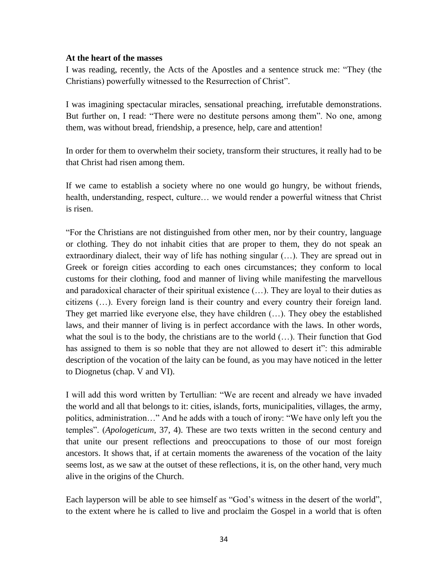#### **At the heart of the masses**

I was reading, recently, the Acts of the Apostles and a sentence struck me: "They (the Christians) powerfully witnessed to the Resurrection of Christ".

I was imagining spectacular miracles, sensational preaching, irrefutable demonstrations. But further on, I read: "There were no destitute persons among them". No one, among them, was without bread, friendship, a presence, help, care and attention!

In order for them to overwhelm their society, transform their structures, it really had to be that Christ had risen among them.

If we came to establish a society where no one would go hungry, be without friends, health, understanding, respect, culture… we would render a powerful witness that Christ is risen.

"For the Christians are not distinguished from other men, nor by their country, language or clothing. They do not inhabit cities that are proper to them, they do not speak an extraordinary dialect, their way of life has nothing singular (…). They are spread out in Greek or foreign cities according to each ones circumstances; they conform to local customs for their clothing, food and manner of living while manifesting the marvellous and paradoxical character of their spiritual existence (…). They are loyal to their duties as citizens (…). Every foreign land is their country and every country their foreign land. They get married like everyone else, they have children (…). They obey the established laws, and their manner of living is in perfect accordance with the laws. In other words, what the soul is to the body, the christians are to the world (…). Their function that God has assigned to them is so noble that they are not allowed to desert it": this admirable description of the vocation of the laity can be found, as you may have noticed in the letter to Diognetus (chap. V and VI).

I will add this word written by Tertullian: "We are recent and already we have invaded the world and all that belongs to it: cities, islands, forts, municipalities, villages, the army, politics, administration…" And he adds with a touch of irony: "We have only left you the temples". (*Apologeticum*, 37, 4). These are two texts written in the second century and that unite our present reflections and preoccupations to those of our most foreign ancestors. It shows that, if at certain moments the awareness of the vocation of the laity seems lost, as we saw at the outset of these reflections, it is, on the other hand, very much alive in the origins of the Church.

Each layperson will be able to see himself as "God's witness in the desert of the world", to the extent where he is called to live and proclaim the Gospel in a world that is often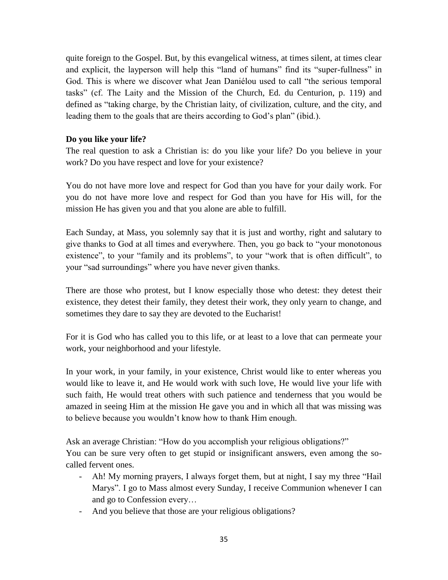quite foreign to the Gospel. But, by this evangelical witness, at times silent, at times clear and explicit, the layperson will help this "land of humans" find its "super-fullness" in God. This is where we discover what Jean Daniélou used to call "the serious temporal tasks" (cf. The Laity and the Mission of the Church, Ed. du Centurion, p. 119) and defined as "taking charge, by the Christian laity, of civilization, culture, and the city, and leading them to the goals that are theirs according to God's plan" (ibid.).

## **Do you like your life?**

The real question to ask a Christian is: do you like your life? Do you believe in your work? Do you have respect and love for your existence?

You do not have more love and respect for God than you have for your daily work. For you do not have more love and respect for God than you have for His will, for the mission He has given you and that you alone are able to fulfill.

Each Sunday, at Mass, you solemnly say that it is just and worthy, right and salutary to give thanks to God at all times and everywhere. Then, you go back to "your monotonous existence", to your "family and its problems", to your "work that is often difficult", to your "sad surroundings" where you have never given thanks.

There are those who protest, but I know especially those who detest: they detest their existence, they detest their family, they detest their work, they only yearn to change, and sometimes they dare to say they are devoted to the Eucharist!

For it is God who has called you to this life, or at least to a love that can permeate your work, your neighborhood and your lifestyle.

In your work, in your family, in your existence, Christ would like to enter whereas you would like to leave it, and He would work with such love, He would live your life with such faith, He would treat others with such patience and tenderness that you would be amazed in seeing Him at the mission He gave you and in which all that was missing was to believe because you wouldn't know how to thank Him enough.

Ask an average Christian: "How do you accomplish your religious obligations?"

You can be sure very often to get stupid or insignificant answers, even among the socalled fervent ones.

- Ah! My morning prayers, I always forget them, but at night, I say my three "Hail Marys". I go to Mass almost every Sunday, I receive Communion whenever I can and go to Confession every…
- And you believe that those are your religious obligations?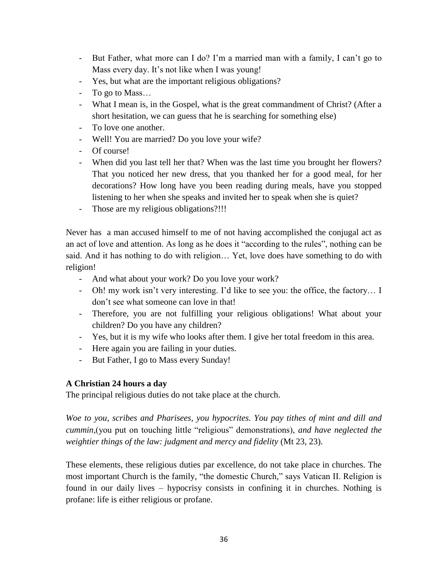- But Father, what more can I do? I'm a married man with a family, I can't go to Mass every day. It's not like when I was young!
- Yes, but what are the important religious obligations?
- To go to Mass…
- What I mean is, in the Gospel, what is the great commandment of Christ? (After a short hesitation, we can guess that he is searching for something else)
- To love one another.
- Well! You are married? Do you love your wife?
- Of course!
- When did you last tell her that? When was the last time you brought her flowers? That you noticed her new dress, that you thanked her for a good meal, for her decorations? How long have you been reading during meals, have you stopped listening to her when she speaks and invited her to speak when she is quiet?
- Those are my religious obligations?!!!

Never has a man accused himself to me of not having accomplished the conjugal act as an act of love and attention. As long as he does it "according to the rules", nothing can be said. And it has nothing to do with religion… Yet, love does have something to do with religion!

- And what about your work? Do you love your work?
- Oh! my work isn't very interesting. I'd like to see you: the office, the factory… I don't see what someone can love in that!
- Therefore, you are not fulfilling your religious obligations! What about your children? Do you have any children?
- Yes, but it is my wife who looks after them. I give her total freedom in this area.
- Here again you are failing in your duties.
- But Father, I go to Mass every Sunday!

# **A Christian 24 hours a day**

The principal religious duties do not take place at the church.

*Woe to you, scribes and Pharisees, you hypocrites. You pay tithes of mint and dill and cummin,*(you put on touching little "religious" demonstrations), *and have neglected the weightier things of the law: judgment and mercy and fidelity* (Mt 23, 23).

These elements, these religious duties par excellence, do not take place in churches. The most important Church is the family, "the domestic Church," says Vatican II. Religion is found in our daily lives – hypocrisy consists in confining it in churches. Nothing is profane: life is either religious or profane.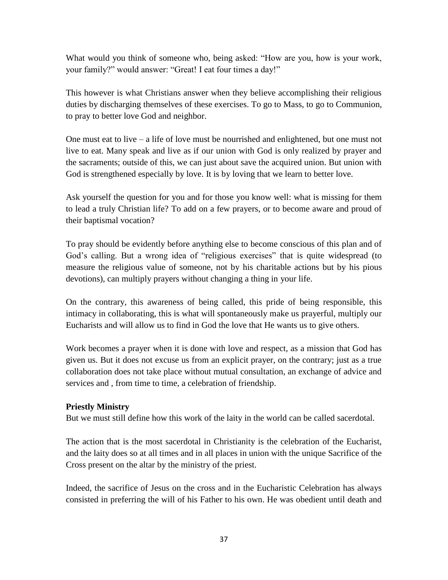What would you think of someone who, being asked: "How are you, how is your work, your family?" would answer: "Great! I eat four times a day!"

This however is what Christians answer when they believe accomplishing their religious duties by discharging themselves of these exercises. To go to Mass, to go to Communion, to pray to better love God and neighbor.

One must eat to live – a life of love must be nourrished and enlightened, but one must not live to eat. Many speak and live as if our union with God is only realized by prayer and the sacraments; outside of this, we can just about save the acquired union. But union with God is strengthened especially by love. It is by loving that we learn to better love.

Ask yourself the question for you and for those you know well: what is missing for them to lead a truly Christian life? To add on a few prayers, or to become aware and proud of their baptismal vocation?

To pray should be evidently before anything else to become conscious of this plan and of God's calling. But a wrong idea of "religious exercises" that is quite widespread (to measure the religious value of someone, not by his charitable actions but by his pious devotions), can multiply prayers without changing a thing in your life.

On the contrary, this awareness of being called, this pride of being responsible, this intimacy in collaborating, this is what will spontaneously make us prayerful, multiply our Eucharists and will allow us to find in God the love that He wants us to give others.

Work becomes a prayer when it is done with love and respect, as a mission that God has given us. But it does not excuse us from an explicit prayer, on the contrary; just as a true collaboration does not take place without mutual consultation, an exchange of advice and services and , from time to time, a celebration of friendship.

## **Priestly Ministry**

But we must still define how this work of the laity in the world can be called sacerdotal.

The action that is the most sacerdotal in Christianity is the celebration of the Eucharist, and the laity does so at all times and in all places in union with the unique Sacrifice of the Cross present on the altar by the ministry of the priest.

Indeed, the sacrifice of Jesus on the cross and in the Eucharistic Celebration has always consisted in preferring the will of his Father to his own. He was obedient until death and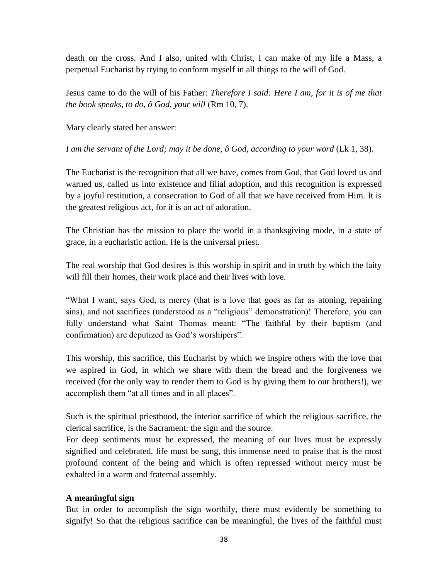death on the cross. And I also, united with Christ, I can make of my life a Mass, a perpetual Eucharist by trying to conform myself in all things to the will of God.

Jesus came to do the will of his Father: *Therefore I said: Here I am, for it is of me that the book speaks, to do, ô God, your will* (Rm 10, 7).

Mary clearly stated her answer:

*I am the servant of the Lord; may it be done,*  $\hat{o}$  *God, according to your word (Lk 1, 38).* 

The Eucharist is the recognition that all we have, comes from God, that God loved us and warned us, called us into existence and filial adoption, and this recognition is expressed by a joyful restitution, a consecration to God of all that we have received from Him. It is the greatest religious act, for it is an act of adoration.

The Christian has the mission to place the world in a thanksgiving mode, in a state of grace, in a eucharistic action. He is the universal priest.

The real worship that God desires is this worship in spirit and in truth by which the laity will fill their homes, their work place and their lives with love.

"What I want, says God, is mercy (that is a love that goes as far as atoning, repairing sins), and not sacrifices (understood as a "religious" demonstration)! Therefore, you can fully understand what Saint Thomas meant: "The faithful by their baptism (and confirmation) are deputized as God's worshipers".

This worship, this sacrifice, this Eucharist by which we inspire others with the love that we aspired in God, in which we share with them the bread and the forgiveness we received (for the only way to render them to God is by giving them to our brothers!), we accomplish them "at all times and in all places".

Such is the spiritual priesthood, the interior sacrifice of which the religious sacrifice, the clerical sacrifice, is the Sacrament: the sign and the source.

For deep sentiments must be expressed, the meaning of our lives must be expressly signified and celebrated, life must be sung, this immense need to praise that is the most profound content of the being and which is often repressed without mercy must be exhalted in a warm and fraternal assembly.

# **A meaningful sign**

But in order to accomplish the sign worthily, there must evidently be something to signify! So that the religious sacrifice can be meaningful, the lives of the faithful must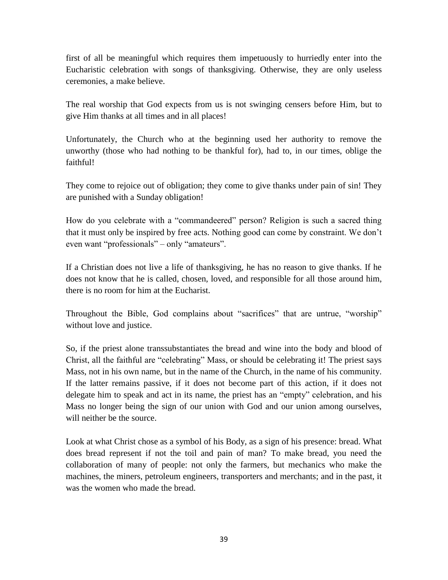first of all be meaningful which requires them impetuously to hurriedly enter into the Eucharistic celebration with songs of thanksgiving. Otherwise, they are only useless ceremonies, a make believe.

The real worship that God expects from us is not swinging censers before Him, but to give Him thanks at all times and in all places!

Unfortunately, the Church who at the beginning used her authority to remove the unworthy (those who had nothing to be thankful for), had to, in our times, oblige the faithful!

They come to rejoice out of obligation; they come to give thanks under pain of sin! They are punished with a Sunday obligation!

How do you celebrate with a "commandeered" person? Religion is such a sacred thing that it must only be inspired by free acts. Nothing good can come by constraint. We don't even want "professionals" – only "amateurs".

If a Christian does not live a life of thanksgiving, he has no reason to give thanks. If he does not know that he is called, chosen, loved, and responsible for all those around him, there is no room for him at the Eucharist.

Throughout the Bible, God complains about "sacrifices" that are untrue, "worship" without love and justice.

So, if the priest alone transsubstantiates the bread and wine into the body and blood of Christ, all the faithful are "celebrating" Mass, or should be celebrating it! The priest says Mass, not in his own name, but in the name of the Church, in the name of his community. If the latter remains passive, if it does not become part of this action, if it does not delegate him to speak and act in its name, the priest has an "empty" celebration, and his Mass no longer being the sign of our union with God and our union among ourselves, will neither be the source.

Look at what Christ chose as a symbol of his Body, as a sign of his presence: bread. What does bread represent if not the toil and pain of man? To make bread, you need the collaboration of many of people: not only the farmers, but mechanics who make the machines, the miners, petroleum engineers, transporters and merchants; and in the past, it was the women who made the bread.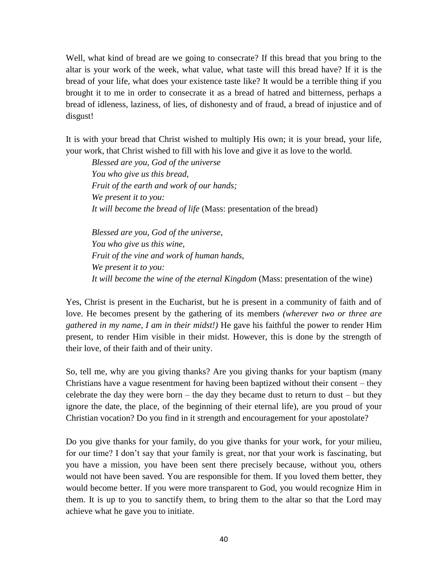Well, what kind of bread are we going to consecrate? If this bread that you bring to the altar is your work of the week, what value, what taste will this bread have? If it is the bread of your life, what does your existence taste like? It would be a terrible thing if you brought it to me in order to consecrate it as a bread of hatred and bitterness, perhaps a bread of idleness, laziness, of lies, of dishonesty and of fraud, a bread of injustice and of disgust!

It is with your bread that Christ wished to multiply His own; it is your bread, your life, your work, that Christ wished to fill with his love and give it as love to the world.

*Blessed are you, God of the universe You who give us this bread, Fruit of the earth and work of our hands; We present it to you: It will become the bread of life* (Mass: presentation of the bread)

*Blessed are you, God of the universe, You who give us this wine, Fruit of the vine and work of human hands, We present it to you: It will become the wine of the eternal Kingdom* (Mass: presentation of the wine)

Yes, Christ is present in the Eucharist, but he is present in a community of faith and of love. He becomes present by the gathering of its members *(wherever two or three are gathered in my name, I am in their midst!)* He gave his faithful the power to render Him present, to render Him visible in their midst. However, this is done by the strength of their love, of their faith and of their unity.

So, tell me, why are you giving thanks? Are you giving thanks for your baptism (many Christians have a vague resentment for having been baptized without their consent – they celebrate the day they were born – the day they became dust to return to dust – but they ignore the date, the place, of the beginning of their eternal life), are you proud of your Christian vocation? Do you find in it strength and encouragement for your apostolate?

Do you give thanks for your family, do you give thanks for your work, for your milieu, for our time? I don't say that your family is great, nor that your work is fascinating, but you have a mission, you have been sent there precisely because, without you, others would not have been saved. You are responsible for them. If you loved them better, they would become better. If you were more transparent to God, you would recognize Him in them. It is up to you to sanctify them, to bring them to the altar so that the Lord may achieve what he gave you to initiate.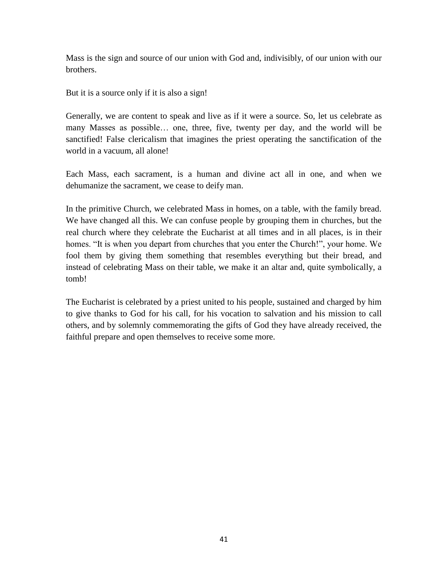Mass is the sign and source of our union with God and, indivisibly, of our union with our brothers.

But it is a source only if it is also a sign!

Generally, we are content to speak and live as if it were a source. So, let us celebrate as many Masses as possible… one, three, five, twenty per day, and the world will be sanctified! False clericalism that imagines the priest operating the sanctification of the world in a vacuum, all alone!

Each Mass, each sacrament, is a human and divine act all in one, and when we dehumanize the sacrament, we cease to deify man.

In the primitive Church, we celebrated Mass in homes, on a table, with the family bread. We have changed all this. We can confuse people by grouping them in churches, but the real church where they celebrate the Eucharist at all times and in all places, is in their homes. "It is when you depart from churches that you enter the Church!", your home. We fool them by giving them something that resembles everything but their bread, and instead of celebrating Mass on their table, we make it an altar and, quite symbolically, a tomb!

The Eucharist is celebrated by a priest united to his people, sustained and charged by him to give thanks to God for his call, for his vocation to salvation and his mission to call others, and by solemnly commemorating the gifts of God they have already received, the faithful prepare and open themselves to receive some more.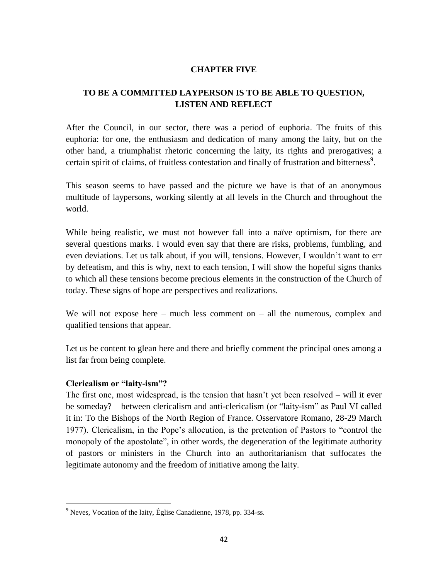### **CHAPTER FIVE**

# **TO BE A COMMITTED LAYPERSON IS TO BE ABLE TO QUESTION, LISTEN AND REFLECT**

After the Council, in our sector, there was a period of euphoria. The fruits of this euphoria: for one, the enthusiasm and dedication of many among the laity, but on the other hand, a triumphalist rhetoric concerning the laity, its rights and prerogatives; a certain spirit of claims, of fruitless contestation and finally of frustration and bitterness<sup>9</sup>.

This season seems to have passed and the picture we have is that of an anonymous multitude of laypersons, working silently at all levels in the Church and throughout the world.

While being realistic, we must not however fall into a naïve optimism, for there are several questions marks. I would even say that there are risks, problems, fumbling, and even deviations. Let us talk about, if you will, tensions. However, I wouldn't want to err by defeatism, and this is why, next to each tension, I will show the hopeful signs thanks to which all these tensions become precious elements in the construction of the Church of today. These signs of hope are perspectives and realizations.

We will not expose here – much less comment on – all the numerous, complex and qualified tensions that appear.

Let us be content to glean here and there and briefly comment the principal ones among a list far from being complete.

### **Clericalism or "laity-ism"?**

l

The first one, most widespread, is the tension that hasn't yet been resolved – will it ever be someday? – between clericalism and anti-clericalism (or "laity-ism" as Paul VI called it in: To the Bishops of the North Region of France. Osservatore Romano, 28-29 March 1977). Clericalism, in the Pope's allocution, is the pretention of Pastors to "control the monopoly of the apostolate", in other words, the degeneration of the legitimate authority of pastors or ministers in the Church into an authoritarianism that suffocates the legitimate autonomy and the freedom of initiative among the laity.

<sup>&</sup>lt;sup>9</sup> Neves, Vocation of the laity, Église Canadienne, 1978, pp. 334-ss.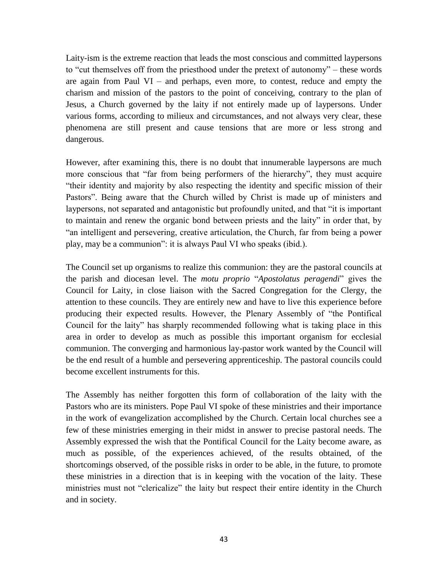Laity-ism is the extreme reaction that leads the most conscious and committed laypersons to "cut themselves off from the priesthood under the pretext of autonomy" – these words are again from Paul VI – and perhaps, even more, to contest, reduce and empty the charism and mission of the pastors to the point of conceiving, contrary to the plan of Jesus, a Church governed by the laity if not entirely made up of laypersons. Under various forms, according to milieux and circumstances, and not always very clear, these phenomena are still present and cause tensions that are more or less strong and dangerous.

However, after examining this, there is no doubt that innumerable laypersons are much more conscious that "far from being performers of the hierarchy", they must acquire "their identity and majority by also respecting the identity and specific mission of their Pastors". Being aware that the Church willed by Christ is made up of ministers and laypersons, not separated and antagonistic but profoundly united, and that "it is important to maintain and renew the organic bond between priests and the laity" in order that, by "an intelligent and persevering, creative articulation, the Church, far from being a power play, may be a communion": it is always Paul VI who speaks (ibid.).

The Council set up organisms to realize this communion: they are the pastoral councils at the parish and diocesan level. The *motu proprio* "*Apostolatus peragendi*" gives the Council for Laity, in close liaison with the Sacred Congregation for the Clergy, the attention to these councils. They are entirely new and have to live this experience before producing their expected results. However, the Plenary Assembly of "the Pontifical Council for the laity" has sharply recommended following what is taking place in this area in order to develop as much as possible this important organism for ecclesial communion. The converging and harmonious lay-pastor work wanted by the Council will be the end result of a humble and persevering apprenticeship. The pastoral councils could become excellent instruments for this.

The Assembly has neither forgotten this form of collaboration of the laity with the Pastors who are its ministers. Pope Paul VI spoke of these ministries and their importance in the work of evangelization accomplished by the Church. Certain local churches see a few of these ministries emerging in their midst in answer to precise pastoral needs. The Assembly expressed the wish that the Pontifical Council for the Laity become aware, as much as possible, of the experiences achieved, of the results obtained, of the shortcomings observed, of the possible risks in order to be able, in the future, to promote these ministries in a direction that is in keeping with the vocation of the laity. These ministries must not "clericalize" the laity but respect their entire identity in the Church and in society.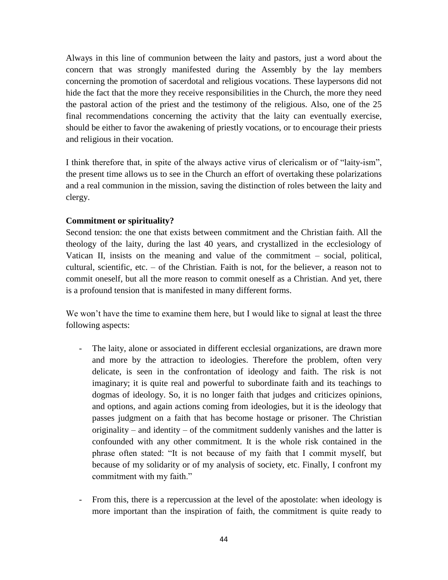Always in this line of communion between the laity and pastors, just a word about the concern that was strongly manifested during the Assembly by the lay members concerning the promotion of sacerdotal and religious vocations. These laypersons did not hide the fact that the more they receive responsibilities in the Church, the more they need the pastoral action of the priest and the testimony of the religious. Also, one of the 25 final recommendations concerning the activity that the laity can eventually exercise, should be either to favor the awakening of priestly vocations, or to encourage their priests and religious in their vocation.

I think therefore that, in spite of the always active virus of clericalism or of "laity-ism", the present time allows us to see in the Church an effort of overtaking these polarizations and a real communion in the mission, saving the distinction of roles between the laity and clergy.

## **Commitment or spirituality?**

Second tension: the one that exists between commitment and the Christian faith. All the theology of the laity, during the last 40 years, and crystallized in the ecclesiology of Vatican II, insists on the meaning and value of the commitment – social, political, cultural, scientific, etc. – of the Christian. Faith is not, for the believer, a reason not to commit oneself, but all the more reason to commit oneself as a Christian. And yet, there is a profound tension that is manifested in many different forms.

We won't have the time to examine them here, but I would like to signal at least the three following aspects:

- The laity, alone or associated in different ecclesial organizations, are drawn more and more by the attraction to ideologies. Therefore the problem, often very delicate, is seen in the confrontation of ideology and faith. The risk is not imaginary; it is quite real and powerful to subordinate faith and its teachings to dogmas of ideology. So, it is no longer faith that judges and criticizes opinions, and options, and again actions coming from ideologies, but it is the ideology that passes judgment on a faith that has become hostage or prisoner. The Christian originality – and identity – of the commitment suddenly vanishes and the latter is confounded with any other commitment. It is the whole risk contained in the phrase often stated: "It is not because of my faith that I commit myself, but because of my solidarity or of my analysis of society, etc. Finally, I confront my commitment with my faith."
- From this, there is a repercussion at the level of the apostolate: when ideology is more important than the inspiration of faith, the commitment is quite ready to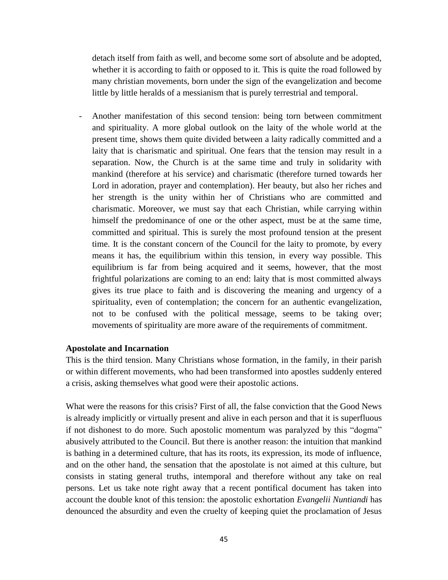detach itself from faith as well, and become some sort of absolute and be adopted, whether it is according to faith or opposed to it. This is quite the road followed by many christian movements, born under the sign of the evangelization and become little by little heralds of a messianism that is purely terrestrial and temporal.

- Another manifestation of this second tension: being torn between commitment and spirituality. A more global outlook on the laity of the whole world at the present time, shows them quite divided between a laity radically committed and a laity that is charismatic and spiritual. One fears that the tension may result in a separation. Now, the Church is at the same time and truly in solidarity with mankind (therefore at his service) and charismatic (therefore turned towards her Lord in adoration, prayer and contemplation). Her beauty, but also her riches and her strength is the unity within her of Christians who are committed and charismatic. Moreover, we must say that each Christian, while carrying within himself the predominance of one or the other aspect, must be at the same time, committed and spiritual. This is surely the most profound tension at the present time. It is the constant concern of the Council for the laity to promote, by every means it has, the equilibrium within this tension, in every way possible. This equilibrium is far from being acquired and it seems, however, that the most frightful polarizations are coming to an end: laity that is most committed always gives its true place to faith and is discovering the meaning and urgency of a spirituality, even of contemplation; the concern for an authentic evangelization, not to be confused with the political message, seems to be taking over; movements of spirituality are more aware of the requirements of commitment.

#### **Apostolate and Incarnation**

This is the third tension. Many Christians whose formation, in the family, in their parish or within different movements, who had been transformed into apostles suddenly entered a crisis, asking themselves what good were their apostolic actions.

What were the reasons for this crisis? First of all, the false conviction that the Good News is already implicitly or virtually present and alive in each person and that it is superfluous if not dishonest to do more. Such apostolic momentum was paralyzed by this "dogma" abusively attributed to the Council. But there is another reason: the intuition that mankind is bathing in a determined culture, that has its roots, its expression, its mode of influence, and on the other hand, the sensation that the apostolate is not aimed at this culture, but consists in stating general truths, intemporal and therefore without any take on real persons. Let us take note right away that a recent pontifical document has taken into account the double knot of this tension: the apostolic exhortation *Evangelii Nuntiandi* has denounced the absurdity and even the cruelty of keeping quiet the proclamation of Jesus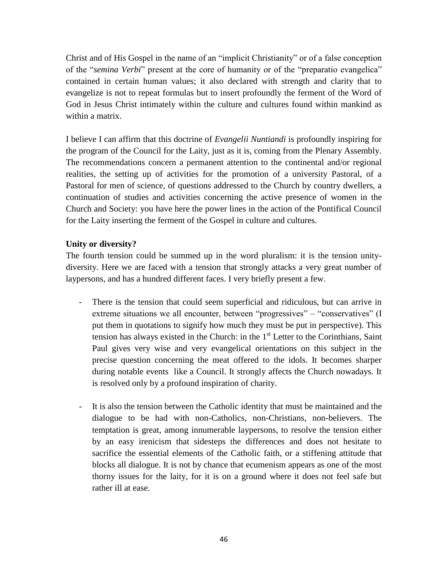Christ and of His Gospel in the name of an "implicit Christianity" or of a false conception of the "*semina Verbi*" present at the core of humanity or of the "preparatio evangelica" contained in certain human values; it also declared with strength and clarity that to evangelize is not to repeat formulas but to insert profoundly the ferment of the Word of God in Jesus Christ intimately within the culture and cultures found within mankind as within a matrix.

I believe I can affirm that this doctrine of *Evangelii Nuntiandi* is profoundly inspiring for the program of the Council for the Laity, just as it is, coming from the Plenary Assembly. The recommendations concern a permanent attention to the continental and/or regional realities, the setting up of activities for the promotion of a university Pastoral, of a Pastoral for men of science, of questions addressed to the Church by country dwellers, a continuation of studies and activities concerning the active presence of women in the Church and Society: you have here the power lines in the action of the Pontifical Council for the Laity inserting the ferment of the Gospel in culture and cultures.

## **Unity or diversity?**

The fourth tension could be summed up in the word pluralism: it is the tension unitydiversity. Here we are faced with a tension that strongly attacks a very great number of laypersons, and has a hundred different faces. I very briefly present a few.

- There is the tension that could seem superficial and ridiculous, but can arrive in extreme situations we all encounter, between "progressives" – "conservatives" (I put them in quotations to signify how much they must be put in perspective). This tension has always existed in the Church: in the  $1<sup>st</sup>$  Letter to the Corinthians, Saint Paul gives very wise and very evangelical orientations on this subject in the precise question concerning the meat offered to the idols. It becomes sharper during notable events like a Council. It strongly affects the Church nowadays. It is resolved only by a profound inspiration of charity.
- It is also the tension between the Catholic identity that must be maintained and the dialogue to be had with non-Catholics, non-Christians, non-believers. The temptation is great, among innumerable laypersons, to resolve the tension either by an easy irenicism that sidesteps the differences and does not hesitate to sacrifice the essential elements of the Catholic faith, or a stiffening attitude that blocks all dialogue. It is not by chance that ecumenism appears as one of the most thorny issues for the laity, for it is on a ground where it does not feel safe but rather ill at ease.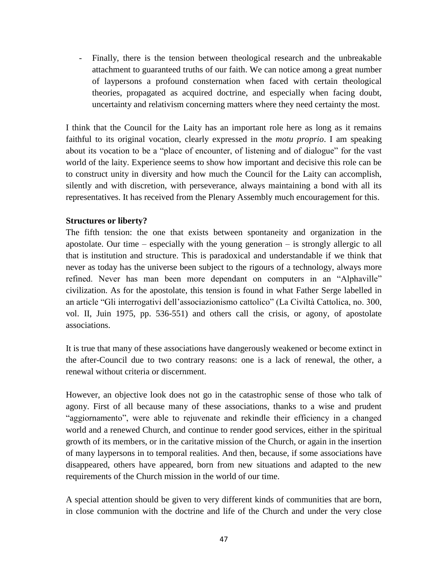- Finally, there is the tension between theological research and the unbreakable attachment to guaranteed truths of our faith. We can notice among a great number of laypersons a profound consternation when faced with certain theological theories, propagated as acquired doctrine, and especially when facing doubt, uncertainty and relativism concerning matters where they need certainty the most.

I think that the Council for the Laity has an important role here as long as it remains faithful to its original vocation, clearly expressed in the *motu proprio*. I am speaking about its vocation to be a "place of encounter, of listening and of dialogue" for the vast world of the laity. Experience seems to show how important and decisive this role can be to construct unity in diversity and how much the Council for the Laity can accomplish, silently and with discretion, with perseverance, always maintaining a bond with all its representatives. It has received from the Plenary Assembly much encouragement for this.

## **Structures or liberty?**

The fifth tension: the one that exists between spontaneity and organization in the apostolate. Our time – especially with the young generation – is strongly allergic to all that is institution and structure. This is paradoxical and understandable if we think that never as today has the universe been subject to the rigours of a technology, always more refined. Never has man been more dependant on computers in an "Alphaville" civilization. As for the apostolate, this tension is found in what Father Serge labelled in an article "Gli interrogativi dell'associazionismo cattolico" (La Civiltà Cattolica, no. 300, vol. II, Juin 1975, pp. 536-551) and others call the crisis, or agony, of apostolate associations.

It is true that many of these associations have dangerously weakened or become extinct in the after-Council due to two contrary reasons: one is a lack of renewal, the other, a renewal without criteria or discernment.

However, an objective look does not go in the catastrophic sense of those who talk of agony. First of all because many of these associations, thanks to a wise and prudent "aggiornamento", were able to rejuvenate and rekindle their efficiency in a changed world and a renewed Church, and continue to render good services, either in the spiritual growth of its members, or in the caritative mission of the Church, or again in the insertion of many laypersons in to temporal realities. And then, because, if some associations have disappeared, others have appeared, born from new situations and adapted to the new requirements of the Church mission in the world of our time.

A special attention should be given to very different kinds of communities that are born, in close communion with the doctrine and life of the Church and under the very close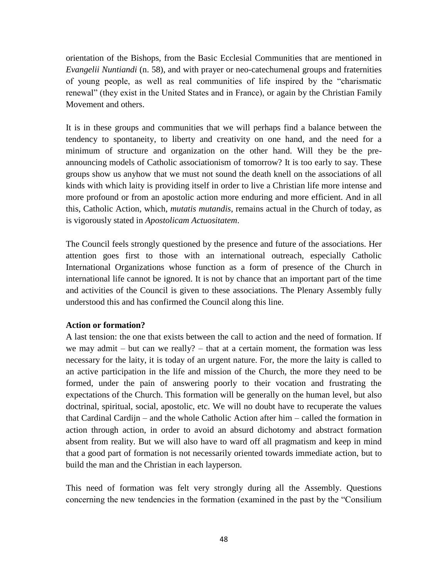orientation of the Bishops, from the Basic Ecclesial Communities that are mentioned in *Evangelii Nuntiandi* (n. 58), and with prayer or neo-catechumenal groups and fraternities of young people, as well as real communities of life inspired by the "charismatic renewal" (they exist in the United States and in France), or again by the Christian Family Movement and others.

It is in these groups and communities that we will perhaps find a balance between the tendency to spontaneity, to liberty and creativity on one hand, and the need for a minimum of structure and organization on the other hand. Will they be the preannouncing models of Catholic associationism of tomorrow? It is too early to say. These groups show us anyhow that we must not sound the death knell on the associations of all kinds with which laity is providing itself in order to live a Christian life more intense and more profound or from an apostolic action more enduring and more efficient. And in all this, Catholic Action, which, *mutatis mutandis*, remains actual in the Church of today, as is vigorously stated in *Apostolicam Actuositatem*.

The Council feels strongly questioned by the presence and future of the associations. Her attention goes first to those with an international outreach, especially Catholic International Organizations whose function as a form of presence of the Church in international life cannot be ignored. It is not by chance that an important part of the time and activities of the Council is given to these associations. The Plenary Assembly fully understood this and has confirmed the Council along this line.

### **Action or formation?**

A last tension: the one that exists between the call to action and the need of formation. If we may admit – but can we really? – that at a certain moment, the formation was less necessary for the laity, it is today of an urgent nature. For, the more the laity is called to an active participation in the life and mission of the Church, the more they need to be formed, under the pain of answering poorly to their vocation and frustrating the expectations of the Church. This formation will be generally on the human level, but also doctrinal, spiritual, social, apostolic, etc. We will no doubt have to recuperate the values that Cardinal Cardijn – and the whole Catholic Action after him – called the formation in action through action, in order to avoid an absurd dichotomy and abstract formation absent from reality. But we will also have to ward off all pragmatism and keep in mind that a good part of formation is not necessarily oriented towards immediate action, but to build the man and the Christian in each layperson.

This need of formation was felt very strongly during all the Assembly. Questions concerning the new tendencies in the formation (examined in the past by the "Consilium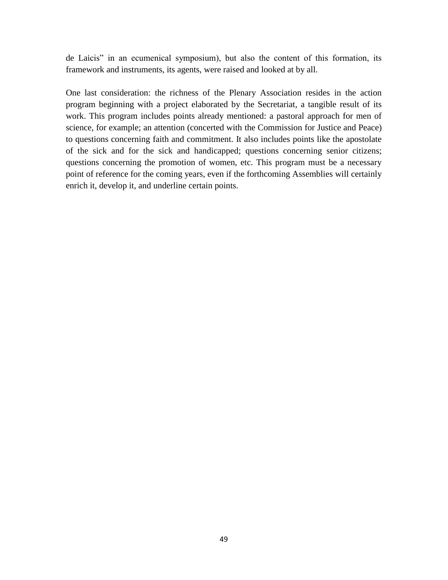de Laicis" in an ecumenical symposium), but also the content of this formation, its framework and instruments, its agents, were raised and looked at by all.

One last consideration: the richness of the Plenary Association resides in the action program beginning with a project elaborated by the Secretariat, a tangible result of its work. This program includes points already mentioned: a pastoral approach for men of science, for example; an attention (concerted with the Commission for Justice and Peace) to questions concerning faith and commitment. It also includes points like the apostolate of the sick and for the sick and handicapped; questions concerning senior citizens; questions concerning the promotion of women, etc. This program must be a necessary point of reference for the coming years, even if the forthcoming Assemblies will certainly enrich it, develop it, and underline certain points.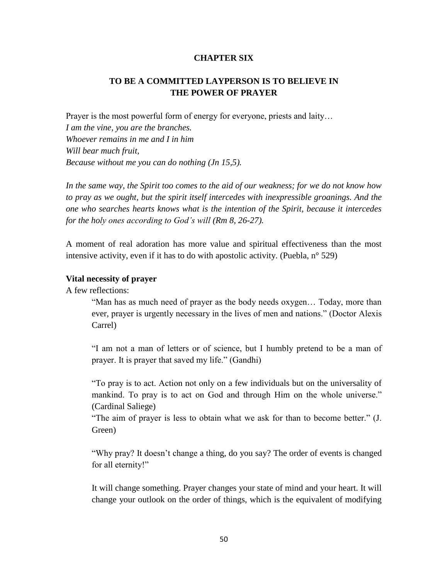#### **CHAPTER SIX**

# **TO BE A COMMITTED LAYPERSON IS TO BELIEVE IN THE POWER OF PRAYER**

Prayer is the most powerful form of energy for everyone, priests and laity… *I am the vine, you are the branches. Whoever remains in me and I in him Will bear much fruit, Because without me you can do nothing (Jn 15,5).*

*In the same way, the Spirit too comes to the aid of our weakness; for we do not know how to pray as we ought, but the spirit itself intercedes with inexpressible groanings. And the one who searches hearts knows what is the intention of the Spirit, because it intercedes for the holy ones according to God's will (Rm 8, 26-27).*

A moment of real adoration has more value and spiritual effectiveness than the most intensive activity, even if it has to do with apostolic activity. (Puebla, n° 529)

#### **Vital necessity of prayer**

A few reflections:

"Man has as much need of prayer as the body needs oxygen… Today, more than ever, prayer is urgently necessary in the lives of men and nations." (Doctor Alexis Carrel)

"I am not a man of letters or of science, but I humbly pretend to be a man of prayer. It is prayer that saved my life." (Gandhi)

"To pray is to act. Action not only on a few individuals but on the universality of mankind. To pray is to act on God and through Him on the whole universe." (Cardinal Saliege)

"The aim of prayer is less to obtain what we ask for than to become better." (J. Green)

"Why pray? It doesn't change a thing, do you say? The order of events is changed for all eternity!"

It will change something. Prayer changes your state of mind and your heart. It will change your outlook on the order of things, which is the equivalent of modifying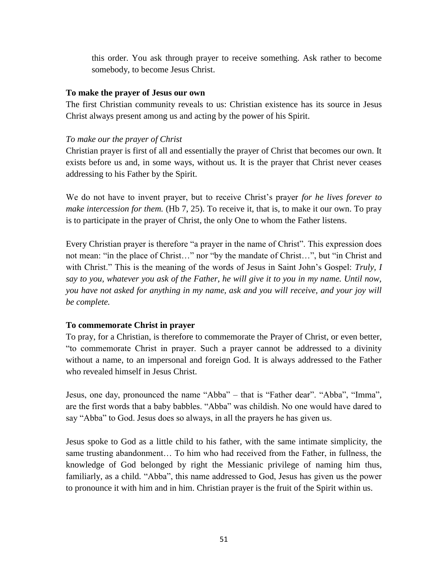this order. You ask through prayer to receive something. Ask rather to become somebody, to become Jesus Christ.

### **To make the prayer of Jesus our own**

The first Christian community reveals to us: Christian existence has its source in Jesus Christ always present among us and acting by the power of his Spirit.

## *To make our the prayer of Christ*

Christian prayer is first of all and essentially the prayer of Christ that becomes our own. It exists before us and, in some ways, without us. It is the prayer that Christ never ceases addressing to his Father by the Spirit.

We do not have to invent prayer, but to receive Christ's prayer *for he lives forever to make intercession for them.* (Hb 7, 25). To receive it, that is, to make it our own. To pray is to participate in the prayer of Christ, the only One to whom the Father listens.

Every Christian prayer is therefore "a prayer in the name of Christ". This expression does not mean: "in the place of Christ…" nor "by the mandate of Christ…", but "in Christ and with Christ." This is the meaning of the words of Jesus in Saint John's Gospel: *Truly, I say to you, whatever you ask of the Father, he will give it to you in my name. Until now, you have not asked for anything in my name, ask and you will receive, and your joy will be complete.* 

### **To commemorate Christ in prayer**

To pray, for a Christian, is therefore to commemorate the Prayer of Christ, or even better, "to commemorate Christ in prayer. Such a prayer cannot be addressed to a divinity without a name, to an impersonal and foreign God. It is always addressed to the Father who revealed himself in Jesus Christ.

Jesus, one day, pronounced the name "Abba" – that is "Father dear". "Abba", "Imma", are the first words that a baby babbles. "Abba" was childish. No one would have dared to say "Abba" to God. Jesus does so always, in all the prayers he has given us.

Jesus spoke to God as a little child to his father, with the same intimate simplicity, the same trusting abandonment… To him who had received from the Father, in fullness, the knowledge of God belonged by right the Messianic privilege of naming him thus, familiarly, as a child. "Abba", this name addressed to God, Jesus has given us the power to pronounce it with him and in him. Christian prayer is the fruit of the Spirit within us.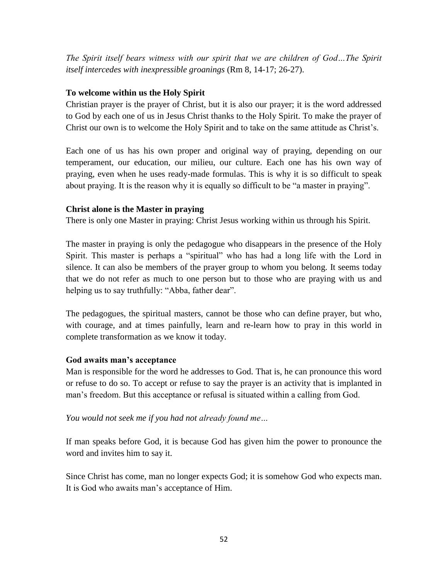*The Spirit itself bears witness with our spirit that we are children of God…The Spirit itself intercedes with inexpressible groanings* (Rm 8, 14-17; 26-27).

## **To welcome within us the Holy Spirit**

Christian prayer is the prayer of Christ, but it is also our prayer; it is the word addressed to God by each one of us in Jesus Christ thanks to the Holy Spirit. To make the prayer of Christ our own is to welcome the Holy Spirit and to take on the same attitude as Christ's.

Each one of us has his own proper and original way of praying, depending on our temperament, our education, our milieu, our culture. Each one has his own way of praying, even when he uses ready-made formulas. This is why it is so difficult to speak about praying. It is the reason why it is equally so difficult to be "a master in praying".

## **Christ alone is the Master in praying**

There is only one Master in praying: Christ Jesus working within us through his Spirit.

The master in praying is only the pedagogue who disappears in the presence of the Holy Spirit. This master is perhaps a "spiritual" who has had a long life with the Lord in silence. It can also be members of the prayer group to whom you belong. It seems today that we do not refer as much to one person but to those who are praying with us and helping us to say truthfully: "Abba, father dear".

The pedagogues, the spiritual masters, cannot be those who can define prayer, but who, with courage, and at times painfully, learn and re-learn how to pray in this world in complete transformation as we know it today.

## **God awaits man's acceptance**

Man is responsible for the word he addresses to God. That is, he can pronounce this word or refuse to do so. To accept or refuse to say the prayer is an activity that is implanted in man's freedom. But this acceptance or refusal is situated within a calling from God.

*You would not seek me if you had not already found me…*

If man speaks before God, it is because God has given him the power to pronounce the word and invites him to say it.

Since Christ has come, man no longer expects God; it is somehow God who expects man. It is God who awaits man's acceptance of Him.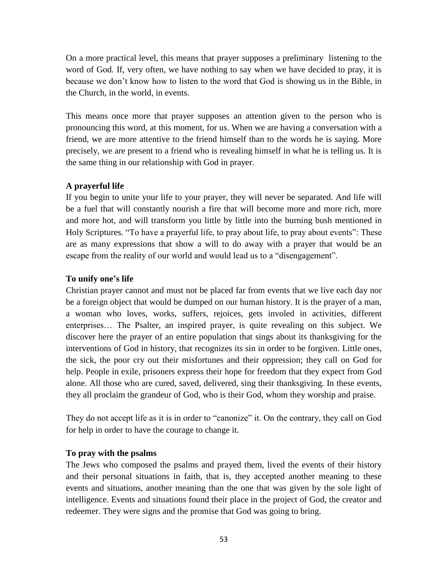On a more practical level, this means that prayer supposes a preliminary listening to the word of God. If, very often, we have nothing to say when we have decided to pray, it is because we don't know how to listen to the word that God is showing us in the Bible, in the Church, in the world, in events.

This means once more that prayer supposes an attention given to the person who is pronouncing this word, at this moment, for us. When we are having a conversation with a friend, we are more attentive to the friend himself than to the words he is saying. More precisely, we are present to a friend who is revealing himself in what he is telling us. It is the same thing in our relationship with God in prayer.

## **A prayerful life**

If you begin to unite your life to your prayer, they will never be separated. And life will be a fuel that will constantly nourish a fire that will become more and more rich, more and more hot, and will transform you little by little into the burning bush mentioned in Holy Scriptures. "To have a prayerful life, to pray about life, to pray about events": These are as many expressions that show a will to do away with a prayer that would be an escape from the reality of our world and would lead us to a "disengagement".

## **To unify one's life**

Christian prayer cannot and must not be placed far from events that we live each day nor be a foreign object that would be dumped on our human history. It is the prayer of a man, a woman who loves, works, suffers, rejoices, gets involed in activities, different enterprises… The Psalter, an inspired prayer, is quite revealing on this subject. We discover here the prayer of an entire population that sings about its thanksgiving for the interventions of God in history, that recognizes its sin in order to be forgiven. Little ones, the sick, the poor cry out their misfortunes and their oppression; they call on God for help. People in exile, prisoners express their hope for freedom that they expect from God alone. All those who are cured, saved, delivered, sing their thanksgiving. In these events, they all proclaim the grandeur of God, who is their God, whom they worship and praise.

They do not accept life as it is in order to "canonize" it. On the contrary, they call on God for help in order to have the courage to change it.

## **To pray with the psalms**

The Jews who composed the psalms and prayed them, lived the events of their history and their personal situations in faith, that is, they accepted another meaning to these events and situations, another meaning than the one that was given by the sole light of intelligence. Events and situations found their place in the project of God, the creator and redeemer. They were signs and the promise that God was going to bring.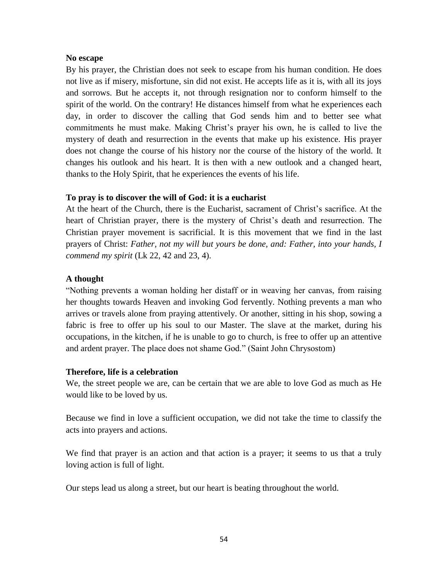### **No escape**

By his prayer, the Christian does not seek to escape from his human condition. He does not live as if misery, misfortune, sin did not exist. He accepts life as it is, with all its joys and sorrows. But he accepts it, not through resignation nor to conform himself to the spirit of the world. On the contrary! He distances himself from what he experiences each day, in order to discover the calling that God sends him and to better see what commitments he must make. Making Christ's prayer his own, he is called to live the mystery of death and resurrection in the events that make up his existence. His prayer does not change the course of his history nor the course of the history of the world. It changes his outlook and his heart. It is then with a new outlook and a changed heart, thanks to the Holy Spirit, that he experiences the events of his life.

## **To pray is to discover the will of God: it is a eucharist**

At the heart of the Church, there is the Eucharist, sacrament of Christ's sacrifice. At the heart of Christian prayer, there is the mystery of Christ's death and resurrection. The Christian prayer movement is sacrificial. It is this movement that we find in the last prayers of Christ: *Father, not my will but yours be done, and: Father, into your hands, I commend my spirit* (Lk 22, 42 and 23, 4).

## **A thought**

"Nothing prevents a woman holding her distaff or in weaving her canvas, from raising her thoughts towards Heaven and invoking God fervently. Nothing prevents a man who arrives or travels alone from praying attentively. Or another, sitting in his shop, sowing a fabric is free to offer up his soul to our Master. The slave at the market, during his occupations, in the kitchen, if he is unable to go to church, is free to offer up an attentive and ardent prayer. The place does not shame God." (Saint John Chrysostom)

### **Therefore, life is a celebration**

We, the street people we are, can be certain that we are able to love God as much as He would like to be loved by us.

Because we find in love a sufficient occupation, we did not take the time to classify the acts into prayers and actions.

We find that prayer is an action and that action is a prayer; it seems to us that a truly loving action is full of light.

Our steps lead us along a street, but our heart is beating throughout the world.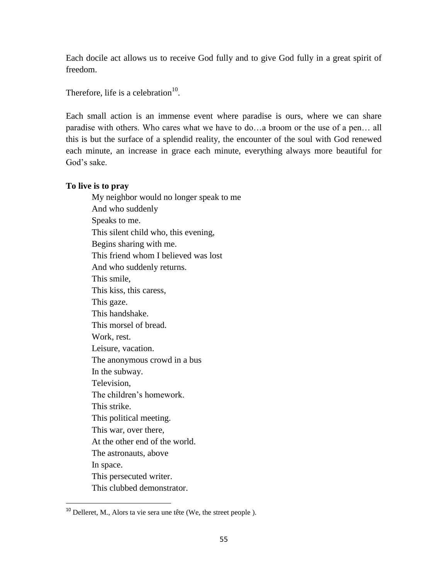Each docile act allows us to receive God fully and to give God fully in a great spirit of freedom.

Therefore, life is a celebration $10$ .

Each small action is an immense event where paradise is ours, where we can share paradise with others. Who cares what we have to do…a broom or the use of a pen… all this is but the surface of a splendid reality, the encounter of the soul with God renewed each minute, an increase in grace each minute, everything always more beautiful for God's sake.

## **To live is to pray**

l

My neighbor would no longer speak to me And who suddenly Speaks to me. This silent child who, this evening, Begins sharing with me. This friend whom I believed was lost And who suddenly returns. This smile, This kiss, this caress, This gaze. This handshake. This morsel of bread. Work, rest. Leisure, vacation. The anonymous crowd in a bus In the subway. Television, The children's homework. This strike. This political meeting. This war, over there, At the other end of the world. The astronauts, above In space. This persecuted writer. This clubbed demonstrator.

 $10$  Delleret, M., Alors ta vie sera une tête (We, the street people).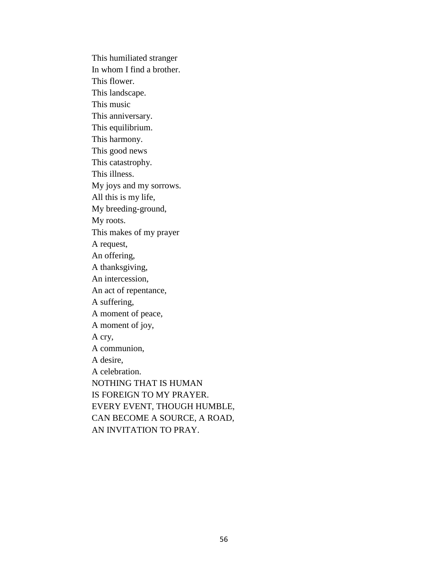This humiliated stranger In whom I find a brother. This flower. This landscape. This music This anniversary. This equilibrium. This harmony. This good news This catastrophy. This illness. My joys and my sorrows. All this is my life, My breeding-ground, My roots. This makes of my prayer A request, An offering, A thanksgiving, An intercession, An act of repentance, A suffering, A moment of peace, A moment of joy, A cry, A communion, A desire, A celebration. NOTHING THAT IS HUMAN IS FOREIGN TO MY PRAYER. EVERY EVENT, THOUGH HUMBLE, CAN BECOME A SOURCE, A ROAD, AN INVITATION TO PRAY.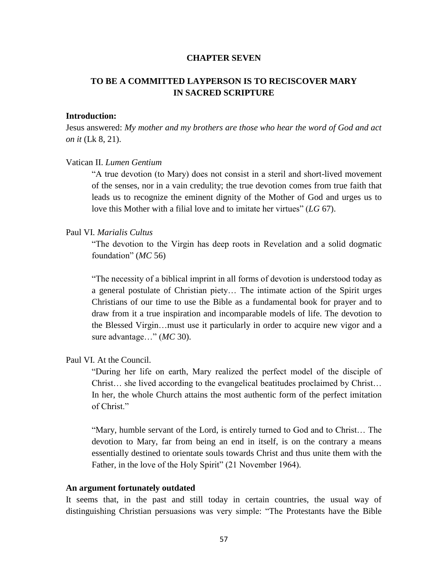#### **CHAPTER SEVEN**

# **TO BE A COMMITTED LAYPERSON IS TO RECISCOVER MARY IN SACRED SCRIPTURE**

#### **Introduction:**

Jesus answered: *My mother and my brothers are those who hear the word of God and act on it* (Lk 8, 21).

#### Vatican II. *Lumen Gentium*

"A true devotion (to Mary) does not consist in a steril and short-lived movement of the senses, nor in a vain credulity; the true devotion comes from true faith that leads us to recognize the eminent dignity of the Mother of God and urges us to love this Mother with a filial love and to imitate her virtues" (*LG* 67).

#### Paul VI. *Marialis Cultus*

"The devotion to the Virgin has deep roots in Revelation and a solid dogmatic foundation" (*MC* 56)

"The necessity of a biblical imprint in all forms of devotion is understood today as a general postulate of Christian piety… The intimate action of the Spirit urges Christians of our time to use the Bible as a fundamental book for prayer and to draw from it a true inspiration and incomparable models of life. The devotion to the Blessed Virgin…must use it particularly in order to acquire new vigor and a sure advantage…" (*MC* 30).

#### Paul VI. At the Council.

"During her life on earth, Mary realized the perfect model of the disciple of Christ… she lived according to the evangelical beatitudes proclaimed by Christ… In her, the whole Church attains the most authentic form of the perfect imitation of Christ."

"Mary, humble servant of the Lord, is entirely turned to God and to Christ… The devotion to Mary, far from being an end in itself, is on the contrary a means essentially destined to orientate souls towards Christ and thus unite them with the Father, in the love of the Holy Spirit" (21 November 1964).

#### **An argument fortunately outdated**

It seems that, in the past and still today in certain countries, the usual way of distinguishing Christian persuasions was very simple: "The Protestants have the Bible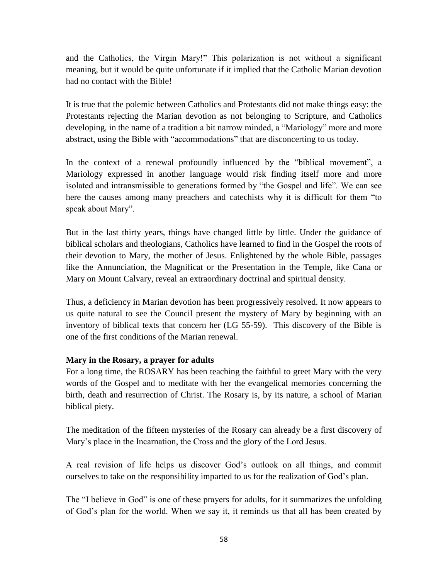and the Catholics, the Virgin Mary!" This polarization is not without a significant meaning, but it would be quite unfortunate if it implied that the Catholic Marian devotion had no contact with the Bible!

It is true that the polemic between Catholics and Protestants did not make things easy: the Protestants rejecting the Marian devotion as not belonging to Scripture, and Catholics developing, in the name of a tradition a bit narrow minded, a "Mariology" more and more abstract, using the Bible with "accommodations" that are disconcerting to us today.

In the context of a renewal profoundly influenced by the "biblical movement", a Mariology expressed in another language would risk finding itself more and more isolated and intransmissible to generations formed by "the Gospel and life". We can see here the causes among many preachers and catechists why it is difficult for them "to speak about Mary".

But in the last thirty years, things have changed little by little. Under the guidance of biblical scholars and theologians, Catholics have learned to find in the Gospel the roots of their devotion to Mary, the mother of Jesus. Enlightened by the whole Bible, passages like the Annunciation, the Magnificat or the Presentation in the Temple, like Cana or Mary on Mount Calvary, reveal an extraordinary doctrinal and spiritual density.

Thus, a deficiency in Marian devotion has been progressively resolved. It now appears to us quite natural to see the Council present the mystery of Mary by beginning with an inventory of biblical texts that concern her (LG 55-59). This discovery of the Bible is one of the first conditions of the Marian renewal.

## **Mary in the Rosary, a prayer for adults**

For a long time, the ROSARY has been teaching the faithful to greet Mary with the very words of the Gospel and to meditate with her the evangelical memories concerning the birth, death and resurrection of Christ. The Rosary is, by its nature, a school of Marian biblical piety.

The meditation of the fifteen mysteries of the Rosary can already be a first discovery of Mary's place in the Incarnation, the Cross and the glory of the Lord Jesus.

A real revision of life helps us discover God's outlook on all things, and commit ourselves to take on the responsibility imparted to us for the realization of God's plan.

The "I believe in God" is one of these prayers for adults, for it summarizes the unfolding of God's plan for the world. When we say it, it reminds us that all has been created by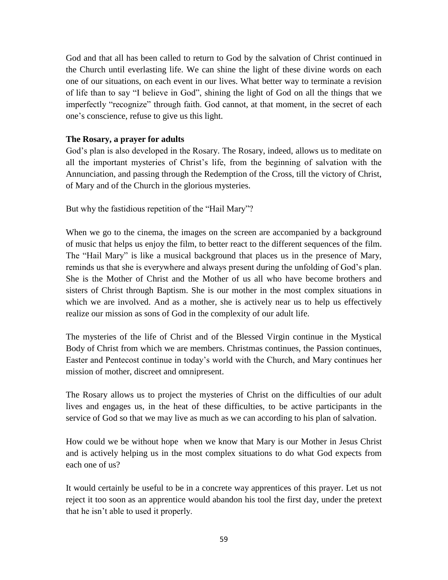God and that all has been called to return to God by the salvation of Christ continued in the Church until everlasting life. We can shine the light of these divine words on each one of our situations, on each event in our lives. What better way to terminate a revision of life than to say "I believe in God", shining the light of God on all the things that we imperfectly "recognize" through faith. God cannot, at that moment, in the secret of each one's conscience, refuse to give us this light.

## **The Rosary, a prayer for adults**

God's plan is also developed in the Rosary. The Rosary, indeed, allows us to meditate on all the important mysteries of Christ's life, from the beginning of salvation with the Annunciation, and passing through the Redemption of the Cross, till the victory of Christ, of Mary and of the Church in the glorious mysteries.

But why the fastidious repetition of the "Hail Mary"?

When we go to the cinema, the images on the screen are accompanied by a background of music that helps us enjoy the film, to better react to the different sequences of the film. The "Hail Mary" is like a musical background that places us in the presence of Mary, reminds us that she is everywhere and always present during the unfolding of God's plan. She is the Mother of Christ and the Mother of us all who have become brothers and sisters of Christ through Baptism. She is our mother in the most complex situations in which we are involved. And as a mother, she is actively near us to help us effectively realize our mission as sons of God in the complexity of our adult life.

The mysteries of the life of Christ and of the Blessed Virgin continue in the Mystical Body of Christ from which we are members. Christmas continues, the Passion continues, Easter and Pentecost continue in today's world with the Church, and Mary continues her mission of mother, discreet and omnipresent.

The Rosary allows us to project the mysteries of Christ on the difficulties of our adult lives and engages us, in the heat of these difficulties, to be active participants in the service of God so that we may live as much as we can according to his plan of salvation.

How could we be without hope when we know that Mary is our Mother in Jesus Christ and is actively helping us in the most complex situations to do what God expects from each one of us?

It would certainly be useful to be in a concrete way apprentices of this prayer. Let us not reject it too soon as an apprentice would abandon his tool the first day, under the pretext that he isn't able to used it properly.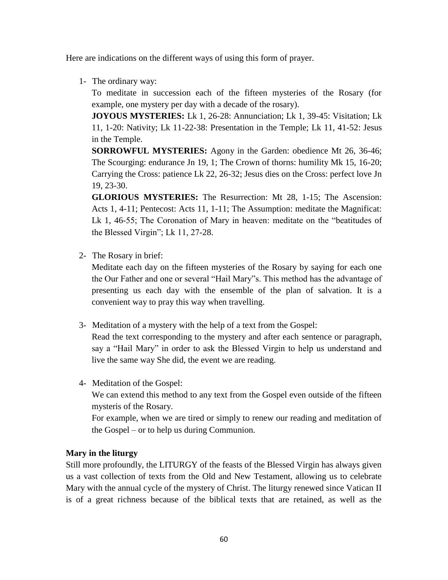Here are indications on the different ways of using this form of prayer.

1- The ordinary way:

To meditate in succession each of the fifteen mysteries of the Rosary (for example, one mystery per day with a decade of the rosary).

**JOYOUS MYSTERIES:** Lk 1, 26-28: Annunciation; Lk 1, 39-45: Visitation; Lk 11, 1-20: Nativity; Lk 11-22-38: Presentation in the Temple; Lk 11, 41-52: Jesus in the Temple.

**SORROWFUL MYSTERIES:** Agony in the Garden: obedience Mt 26, 36-46; The Scourging: endurance Jn 19, 1; The Crown of thorns: humility Mk 15, 16-20; Carrying the Cross: patience Lk 22, 26-32; Jesus dies on the Cross: perfect love Jn 19, 23-30.

**GLORIOUS MYSTERIES:** The Resurrection: Mt 28, 1-15; The Ascension: Acts 1, 4-11; Pentecost: Acts 11, 1-11; The Assumption: meditate the Magnificat: Lk 1, 46-55; The Coronation of Mary in heaven: meditate on the "beatitudes of the Blessed Virgin"; Lk 11, 27-28.

2- The Rosary in brief:

Meditate each day on the fifteen mysteries of the Rosary by saying for each one the Our Father and one or several "Hail Mary"s. This method has the advantage of presenting us each day with the ensemble of the plan of salvation. It is a convenient way to pray this way when travelling.

3- Meditation of a mystery with the help of a text from the Gospel:

Read the text corresponding to the mystery and after each sentence or paragraph, say a "Hail Mary" in order to ask the Blessed Virgin to help us understand and live the same way She did, the event we are reading.

4- Meditation of the Gospel:

We can extend this method to any text from the Gospel even outside of the fifteen mysteris of the Rosary.

For example, when we are tired or simply to renew our reading and meditation of the Gospel – or to help us during Communion.

## **Mary in the liturgy**

Still more profoundly, the LITURGY of the feasts of the Blessed Virgin has always given us a vast collection of texts from the Old and New Testament, allowing us to celebrate Mary with the annual cycle of the mystery of Christ. The liturgy renewed since Vatican II is of a great richness because of the biblical texts that are retained, as well as the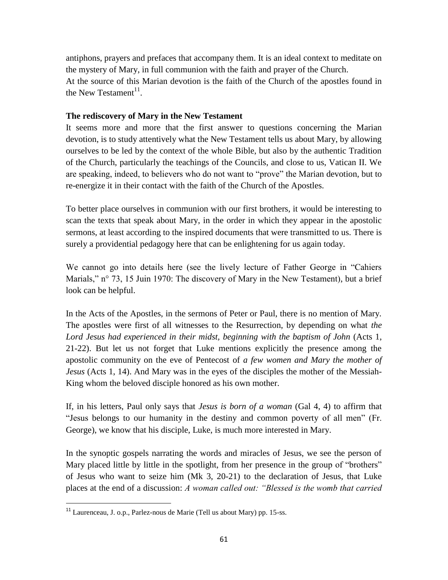antiphons, prayers and prefaces that accompany them. It is an ideal context to meditate on the mystery of Mary, in full communion with the faith and prayer of the Church. At the source of this Marian devotion is the faith of the Church of the apostles found in the New Testament $^{11}$ .

## **The rediscovery of Mary in the New Testament**

It seems more and more that the first answer to questions concerning the Marian devotion, is to study attentively what the New Testament tells us about Mary, by allowing ourselves to be led by the context of the whole Bible, but also by the authentic Tradition of the Church, particularly the teachings of the Councils, and close to us, Vatican II. We are speaking, indeed, to believers who do not want to "prove" the Marian devotion, but to re-energize it in their contact with the faith of the Church of the Apostles.

To better place ourselves in communion with our first brothers, it would be interesting to scan the texts that speak about Mary, in the order in which they appear in the apostolic sermons, at least according to the inspired documents that were transmitted to us. There is surely a providential pedagogy here that can be enlightening for us again today.

We cannot go into details here (see the lively lecture of Father George in "Cahiers Marials," n° 73, 15 Juin 1970: The discovery of Mary in the New Testament), but a brief look can be helpful.

In the Acts of the Apostles, in the sermons of Peter or Paul, there is no mention of Mary. The apostles were first of all witnesses to the Resurrection, by depending on what *the Lord Jesus had experienced in their midst, beginning with the baptism of John* (Acts 1, 21-22). But let us not forget that Luke mentions explicitly the presence among the apostolic community on the eve of Pentecost of *a few women and Mary the mother of Jesus* (Acts 1, 14). And Mary was in the eyes of the disciples the mother of the Messiah-King whom the beloved disciple honored as his own mother.

If, in his letters, Paul only says that *Jesus is born of a woman* (Gal 4, 4) to affirm that "Jesus belongs to our humanity in the destiny and common poverty of all men" (Fr. George), we know that his disciple, Luke, is much more interested in Mary.

In the synoptic gospels narrating the words and miracles of Jesus, we see the person of Mary placed little by little in the spotlight, from her presence in the group of "brothers" of Jesus who want to seize him (Mk 3, 20-21) to the declaration of Jesus, that Luke places at the end of a discussion: *A woman called out: "Blessed is the womb that carried* 

l

<sup>11</sup> Laurenceau, J. o.p., Parlez-nous de Marie (Tell us about Mary) pp. 15-ss.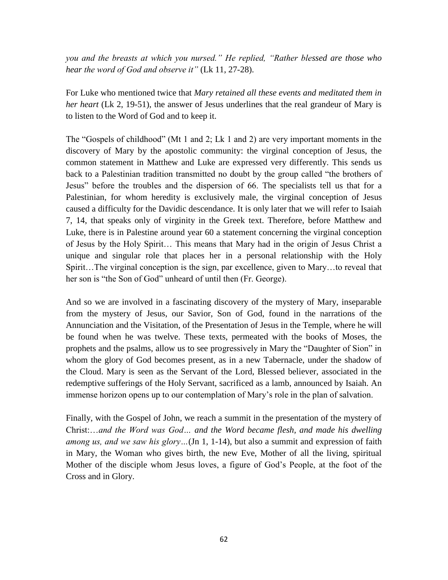*you and the breasts at which you nursed." He replied, "Rather blessed are those who hear the word of God and observe it"* (Lk 11, 27-28).

For Luke who mentioned twice that *Mary retained all these events and meditated them in her heart* (Lk 2, 19-51), the answer of Jesus underlines that the real grandeur of Mary is to listen to the Word of God and to keep it.

The "Gospels of childhood" (Mt 1 and 2; Lk 1 and 2) are very important moments in the discovery of Mary by the apostolic community: the virginal conception of Jesus, the common statement in Matthew and Luke are expressed very differently. This sends us back to a Palestinian tradition transmitted no doubt by the group called "the brothers of Jesus" before the troubles and the dispersion of 66. The specialists tell us that for a Palestinian, for whom heredity is exclusively male, the virginal conception of Jesus caused a difficulty for the Davidic descendance. It is only later that we will refer to Isaiah 7, 14, that speaks only of virginity in the Greek text. Therefore, before Matthew and Luke, there is in Palestine around year 60 a statement concerning the virginal conception of Jesus by the Holy Spirit… This means that Mary had in the origin of Jesus Christ a unique and singular role that places her in a personal relationship with the Holy Spirit…The virginal conception is the sign, par excellence, given to Mary…to reveal that her son is "the Son of God" unheard of until then (Fr. George).

And so we are involved in a fascinating discovery of the mystery of Mary, inseparable from the mystery of Jesus, our Savior, Son of God, found in the narrations of the Annunciation and the Visitation, of the Presentation of Jesus in the Temple, where he will be found when he was twelve. These texts, permeated with the books of Moses, the prophets and the psalms, allow us to see progressively in Mary the "Daughter of Sion" in whom the glory of God becomes present, as in a new Tabernacle, under the shadow of the Cloud. Mary is seen as the Servant of the Lord, Blessed believer, associated in the redemptive sufferings of the Holy Servant, sacrificed as a lamb, announced by Isaiah. An immense horizon opens up to our contemplation of Mary's role in the plan of salvation.

Finally, with the Gospel of John, we reach a summit in the presentation of the mystery of Christ:…*and the Word was God… and the Word became flesh, and made his dwelling among us, and we saw his glory…*(Jn 1, 1-14), but also a summit and expression of faith in Mary, the Woman who gives birth, the new Eve, Mother of all the living, spiritual Mother of the disciple whom Jesus loves, a figure of God's People, at the foot of the Cross and in Glory.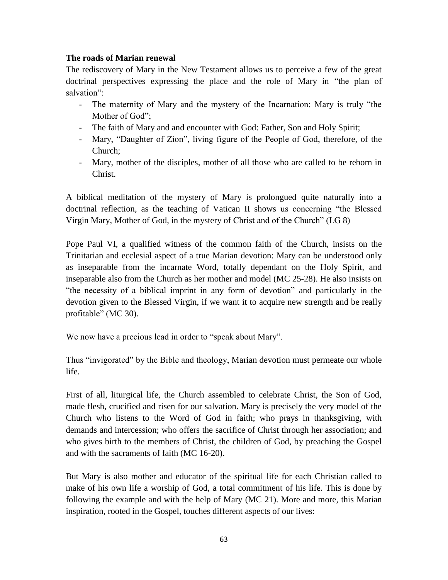## **The roads of Marian renewal**

The rediscovery of Mary in the New Testament allows us to perceive a few of the great doctrinal perspectives expressing the place and the role of Mary in "the plan of salvation":

- The maternity of Mary and the mystery of the Incarnation: Mary is truly "the Mother of God":
- The faith of Mary and and encounter with God: Father, Son and Holy Spirit;
- Mary, "Daughter of Zion", living figure of the People of God, therefore, of the Church;
- Mary, mother of the disciples, mother of all those who are called to be reborn in Christ.

A biblical meditation of the mystery of Mary is prolongued quite naturally into a doctrinal reflection, as the teaching of Vatican II shows us concerning "the Blessed Virgin Mary, Mother of God, in the mystery of Christ and of the Church" (LG 8)

Pope Paul VI, a qualified witness of the common faith of the Church, insists on the Trinitarian and ecclesial aspect of a true Marian devotion: Mary can be understood only as inseparable from the incarnate Word, totally dependant on the Holy Spirit, and inseparable also from the Church as her mother and model (MC 25-28). He also insists on "the necessity of a biblical imprint in any form of devotion" and particularly in the devotion given to the Blessed Virgin, if we want it to acquire new strength and be really profitable" (MC 30).

We now have a precious lead in order to "speak about Mary".

Thus "invigorated" by the Bible and theology, Marian devotion must permeate our whole life.

First of all, liturgical life, the Church assembled to celebrate Christ, the Son of God, made flesh, crucified and risen for our salvation. Mary is precisely the very model of the Church who listens to the Word of God in faith; who prays in thanksgiving, with demands and intercession; who offers the sacrifice of Christ through her association; and who gives birth to the members of Christ, the children of God, by preaching the Gospel and with the sacraments of faith (MC 16-20).

But Mary is also mother and educator of the spiritual life for each Christian called to make of his own life a worship of God, a total commitment of his life. This is done by following the example and with the help of Mary (MC 21). More and more, this Marian inspiration, rooted in the Gospel, touches different aspects of our lives: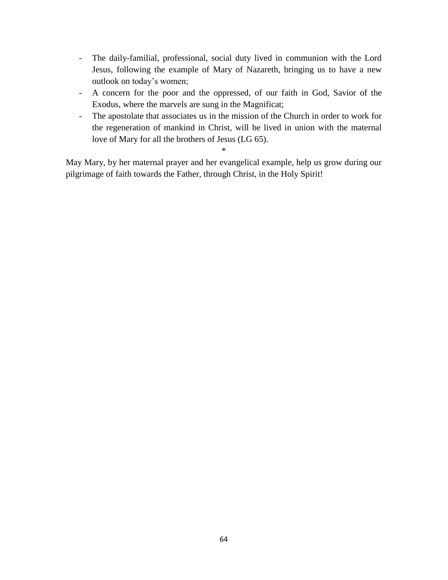- The daily-familial, professional, social duty lived in communion with the Lord Jesus, following the example of Mary of Nazareth, bringing us to have a new outlook on today's women;
- A concern for the poor and the oppressed, of our faith in God, Savior of the Exodus, where the marvels are sung in the Magnificat;
- The apostolate that associates us in the mission of the Church in order to work for the regeneration of mankind in Christ, will be lived in union with the maternal love of Mary for all the brothers of Jesus (LG 65).

\*

May Mary, by her maternal prayer and her evangelical example, help us grow during our pilgrimage of faith towards the Father, through Christ, in the Holy Spirit!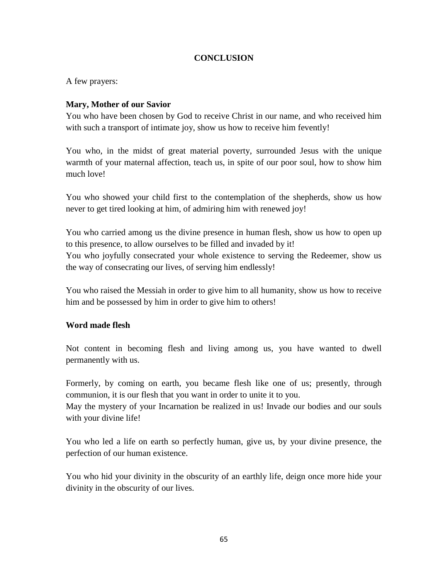## **CONCLUSION**

A few prayers:

## **Mary, Mother of our Savior**

You who have been chosen by God to receive Christ in our name, and who received him with such a transport of intimate joy, show us how to receive him fevently!

You who, in the midst of great material poverty, surrounded Jesus with the unique warmth of your maternal affection, teach us, in spite of our poor soul, how to show him much love!

You who showed your child first to the contemplation of the shepherds, show us how never to get tired looking at him, of admiring him with renewed joy!

You who carried among us the divine presence in human flesh, show us how to open up to this presence, to allow ourselves to be filled and invaded by it! You who joyfully consecrated your whole existence to serving the Redeemer, show us the way of consecrating our lives, of serving him endlessly!

You who raised the Messiah in order to give him to all humanity, show us how to receive him and be possessed by him in order to give him to others!

## **Word made flesh**

Not content in becoming flesh and living among us, you have wanted to dwell permanently with us.

Formerly, by coming on earth, you became flesh like one of us; presently, through communion, it is our flesh that you want in order to unite it to you.

May the mystery of your Incarnation be realized in us! Invade our bodies and our souls with your divine life!

You who led a life on earth so perfectly human, give us, by your divine presence, the perfection of our human existence.

You who hid your divinity in the obscurity of an earthly life, deign once more hide your divinity in the obscurity of our lives.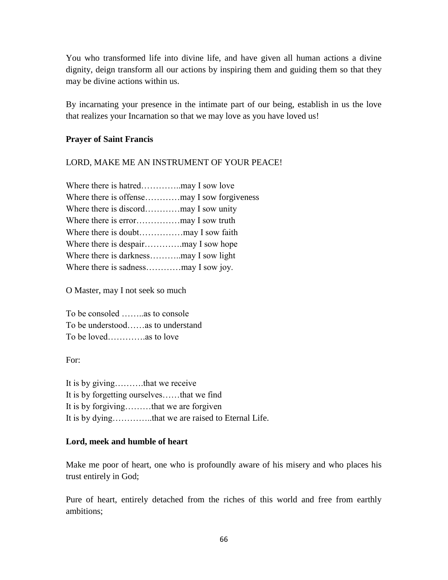You who transformed life into divine life, and have given all human actions a divine dignity, deign transform all our actions by inspiring them and guiding them so that they may be divine actions within us.

By incarnating your presence in the intimate part of our being, establish in us the love that realizes your Incarnation so that we may love as you have loved us!

## **Prayer of Saint Francis**

## LORD, MAKE ME AN INSTRUMENT OF YOUR PEACE!

| Where there is despairmay I sow hope |
|--------------------------------------|
|                                      |
|                                      |

O Master, may I not seek so much

To be consoled ……..as to console To be understood……as to understand To be loved………….as to love

For:

It is by giving……….that we receive It is by forgetting ourselves……that we find It is by forgiving………that we are forgiven It is by dying…………..that we are raised to Eternal Life.

### **Lord, meek and humble of heart**

Make me poor of heart, one who is profoundly aware of his misery and who places his trust entirely in God;

Pure of heart, entirely detached from the riches of this world and free from earthly ambitions;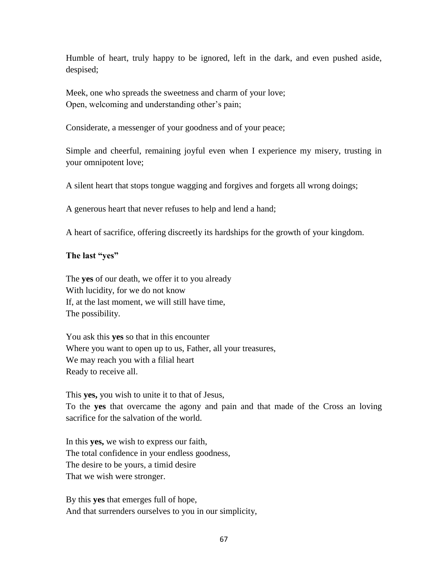Humble of heart, truly happy to be ignored, left in the dark, and even pushed aside, despised;

Meek, one who spreads the sweetness and charm of your love; Open, welcoming and understanding other's pain;

Considerate, a messenger of your goodness and of your peace;

Simple and cheerful, remaining joyful even when I experience my misery, trusting in your omnipotent love;

A silent heart that stops tongue wagging and forgives and forgets all wrong doings;

A generous heart that never refuses to help and lend a hand;

A heart of sacrifice, offering discreetly its hardships for the growth of your kingdom.

## **The last "yes"**

The **yes** of our death, we offer it to you already With lucidity, for we do not know If, at the last moment, we will still have time, The possibility.

You ask this **yes** so that in this encounter Where you want to open up to us, Father, all your treasures, We may reach you with a filial heart Ready to receive all.

This **yes,** you wish to unite it to that of Jesus, To the **yes** that overcame the agony and pain and that made of the Cross an loving sacrifice for the salvation of the world.

In this **yes,** we wish to express our faith, The total confidence in your endless goodness, The desire to be yours, a timid desire That we wish were stronger.

By this **yes** that emerges full of hope, And that surrenders ourselves to you in our simplicity,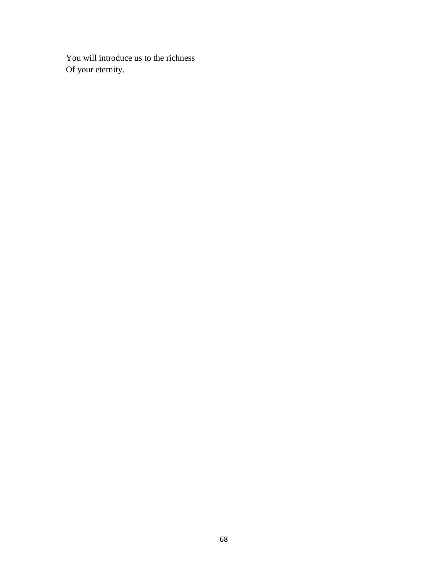You will introduce us to the richness Of your eternity.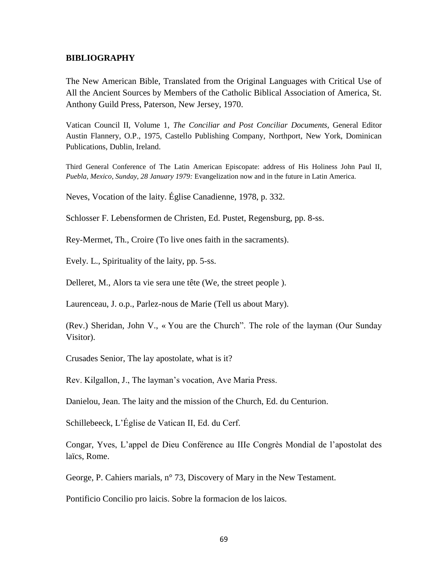#### **BIBLIOGRAPHY**

The New American Bible, Translated from the Original Languages with Critical Use of All the Ancient Sources by Members of the Catholic Biblical Association of America, St. Anthony Guild Press, Paterson, New Jersey, 1970.

Vatican Council II, Volume 1, *The Conciliar and Post Conciliar Documents*, General Editor Austin Flannery, O.P., 1975, Castello Publishing Company, Northport, New York, Dominican Publications, Dublin, Ireland.

Third General Conference of The Latin American Episcopate: address of His Holiness John Paul II, *Puebla, Mexico, Sunday, 28 January 1979:* Evangelization now and in the future in Latin America.

Neves, Vocation of the laity. Église Canadienne, 1978, p. 332.

Schlosser F. Lebensformen de Christen, Ed. Pustet, Regensburg, pp. 8-ss.

Rey-Mermet, Th., Croire (To live ones faith in the sacraments).

Evely. L., Spirituality of the laity, pp. 5-ss.

Delleret, M., Alors ta vie sera une tête (We, the street people ).

Laurenceau, J. o.p., Parlez-nous de Marie (Tell us about Mary).

(Rev.) Sheridan, John V., « You are the Church". The role of the layman (Our Sunday Visitor).

Crusades Senior, The lay apostolate, what is it?

Rev. Kilgallon, J., The layman's vocation, Ave Maria Press.

Danielou, Jean. The laity and the mission of the Church, Ed. du Centurion.

Schillebeeck, L'Église de Vatican II, Ed. du Cerf.

Congar, Yves, L'appel de Dieu Conférence au IIIe Congrès Mondial de l'apostolat des laïcs, Rome.

George, P. Cahiers marials, n° 73, Discovery of Mary in the New Testament.

Pontificio Concilio pro laicis. Sobre la formacion de los laicos.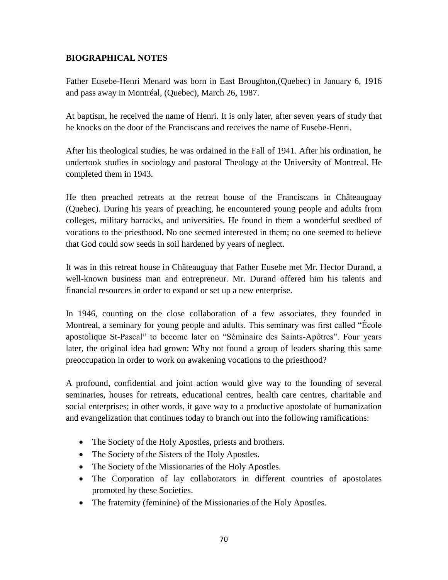## **BIOGRAPHICAL NOTES**

Father Eusebe-Henri Menard was born in East Broughton,(Quebec) in January 6, 1916 and pass away in Montréal, (Quebec), March 26, 1987.

At baptism, he received the name of Henri. It is only later, after seven years of study that he knocks on the door of the Franciscans and receives the name of Eusebe-Henri.

After his theological studies, he was ordained in the Fall of 1941. After his ordination, he undertook studies in sociology and pastoral Theology at the University of Montreal. He completed them in 1943.

He then preached retreats at the retreat house of the Franciscans in Châteauguay (Quebec). During his years of preaching, he encountered young people and adults from colleges, military barracks, and universities. He found in them a wonderful seedbed of vocations to the priesthood. No one seemed interested in them; no one seemed to believe that God could sow seeds in soil hardened by years of neglect.

It was in this retreat house in Châteauguay that Father Eusebe met Mr. Hector Durand, a well-known business man and entrepreneur. Mr. Durand offered him his talents and financial resources in order to expand or set up a new enterprise.

In 1946, counting on the close collaboration of a few associates, they founded in Montreal, a seminary for young people and adults. This seminary was first called "École apostolique St-Pascal" to become later on "Séminaire des Saints-Apôtres". Four years later, the original idea had grown: Why not found a group of leaders sharing this same preoccupation in order to work on awakening vocations to the priesthood?

A profound, confidential and joint action would give way to the founding of several seminaries, houses for retreats, educational centres, health care centres, charitable and social enterprises; in other words, it gave way to a productive apostolate of humanization and evangelization that continues today to branch out into the following ramifications:

- The Society of the Holy Apostles, priests and brothers.
- The Society of the Sisters of the Holy Apostles.
- The Society of the Missionaries of the Holy Apostles.
- The Corporation of lay collaborators in different countries of apostolates promoted by these Societies.
- The fraternity (feminine) of the Missionaries of the Holy Apostles.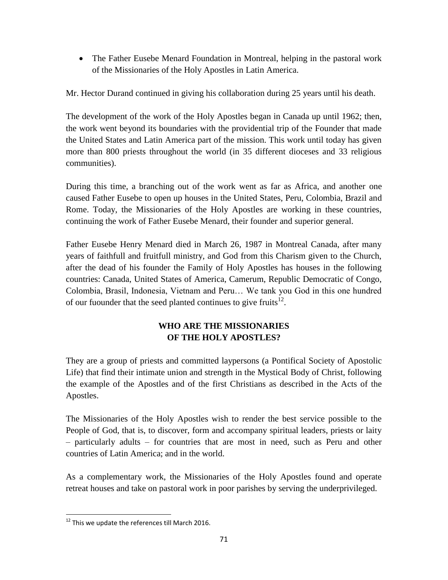The Father Eusebe Menard Foundation in Montreal, helping in the pastoral work of the Missionaries of the Holy Apostles in Latin America.

Mr. Hector Durand continued in giving his collaboration during 25 years until his death.

The development of the work of the Holy Apostles began in Canada up until 1962; then, the work went beyond its boundaries with the providential trip of the Founder that made the United States and Latin America part of the mission. This work until today has given more than 800 priests throughout the world (in 35 different dioceses and 33 religious communities).

During this time, a branching out of the work went as far as Africa, and another one caused Father Eusebe to open up houses in the United States, Peru, Colombia, Brazil and Rome. Today, the Missionaries of the Holy Apostles are working in these countries, continuing the work of Father Eusebe Menard, their founder and superior general.

Father Eusebe Henry Menard died in March 26, 1987 in Montreal Canada, after many years of faithfull and fruitfull ministry, and God from this Charism given to the Church, after the dead of his founder the Family of Holy Apostles has houses in the following countries: Canada, United States of America, Camerum, Republic Democratic of Congo, Colombia, Brasil, Indonesia, Vietnam and Peru… We tank you God in this one hundred of our fuounder that the seed planted continues to give fruits $^{12}$ .

# **WHO ARE THE MISSIONARIES OF THE HOLY APOSTLES?**

They are a group of priests and committed laypersons (a Pontifical Society of Apostolic Life) that find their intimate union and strength in the Mystical Body of Christ, following the example of the Apostles and of the first Christians as described in the Acts of the Apostles.

The Missionaries of the Holy Apostles wish to render the best service possible to the People of God, that is, to discover, form and accompany spiritual leaders, priests or laity – particularly adults – for countries that are most in need, such as Peru and other countries of Latin America; and in the world.

As a complementary work, the Missionaries of the Holy Apostles found and operate retreat houses and take on pastoral work in poor parishes by serving the underprivileged.

 $\overline{\phantom{a}}$ <sup>12</sup> This we update the references till March 2016.